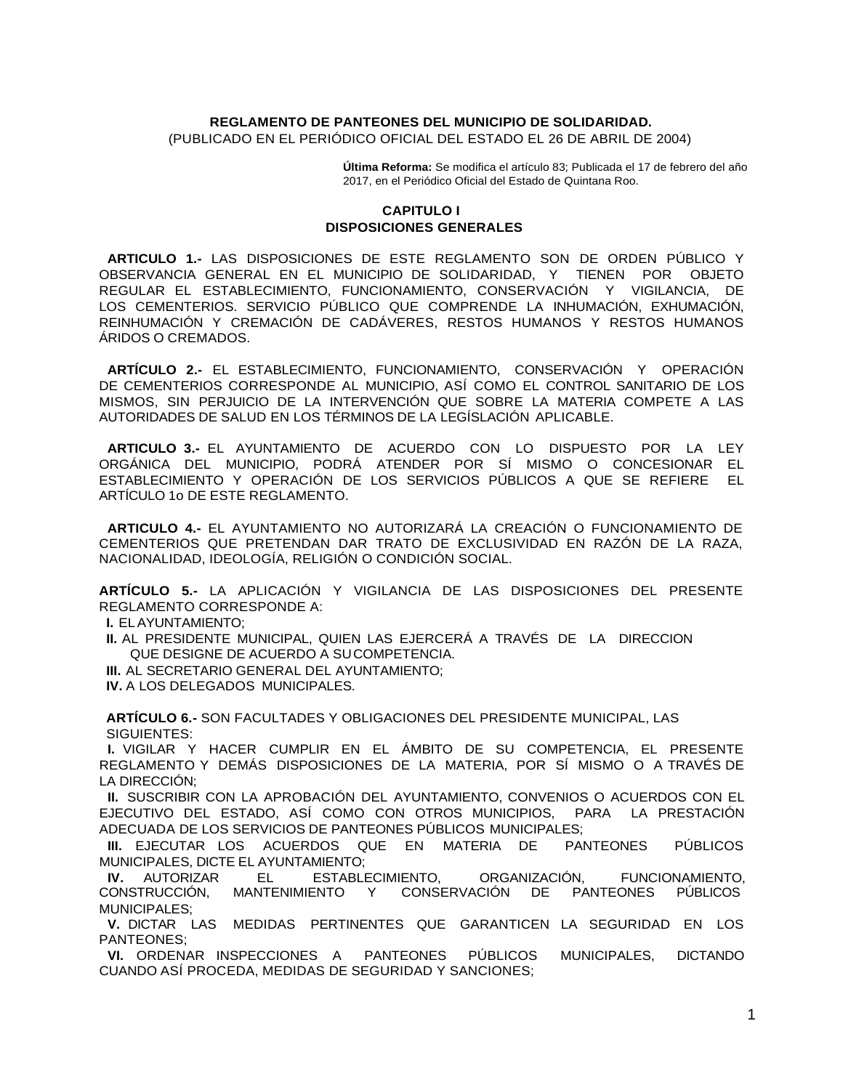## **REGLAMENTO DE PANTEONES DEL MUNICIPIO DE SOLIDARIDAD.** (PUBLICADO EN EL PERIÓDICO OFICIAL DEL ESTADO EL 26 DE ABRIL DE 2004)

**Última Reforma:** Se modifica el artículo 83; Publicada el 17 de febrero del año 2017, en el Periódico Oficial del Estado de Quintana Roo.

## **CAPITULO I DISPOSICIONES GENERALES**

**ARTICULO 1.-** LAS DISPOSICIONES DE ESTE REGLAMENTO SON DE ORDEN PÚBLICO Y OBSERVANCIA GENERAL EN EL MUNICIPIO DE SOLIDARIDAD, Y TIENEN POR OBJETO REGULAR EL ESTABLECIMIENTO, FUNCIONAMIENTO, CONSERVACIÓN Y VIGILANCIA, DE LOS CEMENTERIOS. SERVICIO PÚBLICO QUE COMPRENDE LA INHUMACIÓN, EXHUMACIÓN, REINHUMACIÓN Y CREMACIÓN DE CADÁVERES, RESTOS HUMANOS Y RESTOS HUMANOS ÁRIDOS O CREMADOS.

**ARTÍCULO 2.-** EL ESTABLECIMIENTO, FUNCIONAMIENTO, CONSERVACIÓN Y OPERACIÓN DE CEMENTERIOS CORRESPONDE AL MUNICIPIO, ASÍ COMO EL CONTROL SANITARIO DE LOS MISMOS, SIN PERJUICIO DE LA INTERVENCIÓN QUE SOBRE LA MATERIA COMPETE A LAS AUTORIDADES DE SALUD EN LOS TÉRMINOS DE LA LEGÍSLACIÓN APLICABLE.

**ARTICULO 3.-** EL AYUNTAMIENTO DE ACUERDO CON LO DISPUESTO POR LA LEY ORGÁNICA DEL MUNICIPIO, PODRÁ ATENDER POR SÍ MISMO O CONCESIONAR EL ESTABLECIMIENTO Y OPERACIÓN DE LOS SERVICIOS PÚBLICOS A QUE SE REFIERE EL ARTÍCULO 1o DE ESTE REGLAMENTO.

**ARTICULO 4.-** EL AYUNTAMIENTO NO AUTORIZARÁ LA CREACIÓN O FUNCIONAMIENTO DE CEMENTERIOS QUE PRETENDAN DAR TRATO DE EXCLUSIVIDAD EN RAZÓN DE LA RAZA, NACIONALIDAD, IDEOLOGÍA, RELIGIÓN O CONDICIÓN SOCIAL.

**ARTÍCULO 5.-** LA APLICACIÓN Y VIGILANCIA DE LAS DISPOSICIONES DEL PRESENTE REGLAMENTO CORRESPONDE A:

**I.** ELAYUNTAMIENTO;

**II.** AL PRESIDENTE MUNICIPAL, QUIEN LAS EJERCERÁ A TRAVÉS DE LA DIRECCION QUE DESIGNE DE ACUERDO A SUCOMPETENCIA.

**III.** AL SECRETARIO GENERAL DEL AYUNTAMIENTO;

**IV.** A LOS DELEGADOS MUNICIPALES.

**ARTÍCULO 6.-** SON FACULTADES Y OBLIGACIONES DEL PRESIDENTE MUNICIPAL, LAS SIGUIENTES:

**I.** VIGILAR Y HACER CUMPLIR EN EL ÁMBITO DE SU COMPETENCIA, EL PRESENTE REGLAMENTO Y DEMÁS DISPOSICIONES DE LA MATERIA, POR SÍ MISMO O A TRAVÉS DE LA DIRECCIÓN;

**II.** SUSCRIBIR CON LA APROBACIÓN DEL AYUNTAMIENTO, CONVENIOS O ACUERDOS CON EL EJECUTIVO DEL ESTADO, ASÍ COMO CON OTROS MUNICIPIOS, PARA LA PRESTACIÓN ADECUADA DE LOS SERVICIOS DE PANTEONES PÚBLICOS MUNICIPALES;

**III.** EJECUTAR LOS ACUERDOS QUE EN MATERIA DE PANTEONES PÚBLICOS MUNICIPALES, DICTE EL AYUNTAMIENTO;

**IV.** AUTORIZAR EL ESTABLECIMIENTO, ORGANIZACIÓN, FUNCIONAMIENTO, CONSTRUCCIÓN, MANTENIMIENTO Y CONSERVACIÓN DE PANTEONES PÚBLICOS MUNICIPALES;

**V.** DICTAR LAS MEDIDAS PERTINENTES QUE GARANTICEN LA SEGURIDAD EN LOS PANTEONES;

**VI.** ORDENAR INSPECCIONES A PANTEONES PÚBLICOS MUNICIPALES, DICTANDO CUANDO ASÍ PROCEDA, MEDIDAS DE SEGURIDAD Y SANCIONES;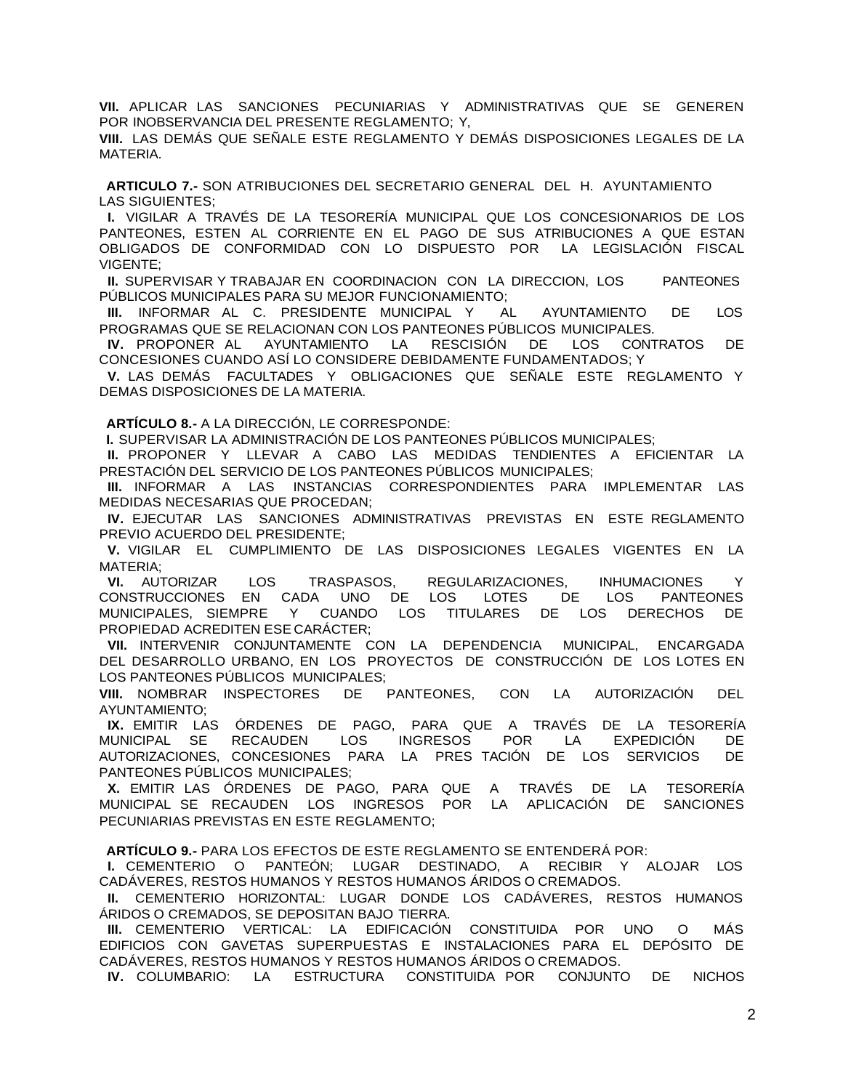**VII.** APLICAR LAS SANCIONES PECUNIARIAS Y ADMINISTRATIVAS QUE SE GENEREN POR INOBSERVANCIA DEL PRESENTE REGLAMENTO; Y,

**VIII.** LAS DEMÁS QUE SEÑALE ESTE REGLAMENTO Y DEMÁS DISPOSICIONES LEGALES DE LA MATERIA.

**ARTICULO 7.-** SON ATRIBUCIONES DEL SECRETARIO GENERAL DEL H. AYUNTAMIENTO LAS SIGUIENTES;

**I.** VIGILAR A TRAVÉS DE LA TESORERÍA MUNICIPAL QUE LOS CONCESIONARIOS DE LOS PANTEONES, ESTEN AL CORRIENTE EN EL PAGO DE SUS ATRIBUCIONES A QUE ESTAN OBLIGADOS DE CONFORMIDAD CON LO DISPUESTO POR LA LEGISLACIÓN FISCAL VIGENTE;

**II.** SUPERVISAR Y TRABAJAR EN COORDINACION CON LA DIRECCION, LOS PANTEONES PÚBLICOS MUNICIPALES PARA SU MEJOR FUNCIONAMIENTO;

**III.** INFORMAR AL C. PRESIDENTE MUNICIPAL Y AL AYUNTAMIENTO DE LOS PROGRAMAS QUE SE RELACIONAN CON LOS PANTEONES PÚBLICOS MUNICIPALES.

**IV.** PROPONER AL AYUNTAMIENTO LA RESCISIÓN DE LOS CONTRATOS DE CONCESIONES CUANDO ASÍ LO CONSIDERE DEBIDAMENTE FUNDAMENTADOS; Y

**V.** LAS DEMÁS FACULTADES Y OBLIGACIONES QUE SEÑALE ESTE REGLAMENTO Y DEMAS DISPOSICIONES DE LA MATERIA.

**ARTÍCULO 8.-** A LA DIRECCIÓN, LE CORRESPONDE:

**I.** SUPERVISAR LA ADMINISTRACIÓN DE LOS PANTEONES PÚBLICOS MUNICIPALES;

**II.** PROPONER Y LLEVAR A CABO LAS MEDIDAS TENDIENTES A EFICIENTAR LA PRESTACIÓN DEL SERVICIO DE LOS PANTEONES PÚBLICOS MUNICIPALES;

**III.** INFORMAR A LAS INSTANCIAS CORRESPONDIENTES PARA IMPLEMENTAR LAS MEDIDAS NECESARIAS QUE PROCEDAN;

**IV.** EJECUTAR LAS SANCIONES ADMINISTRATIVAS PREVISTAS EN ESTE REGLAMENTO PREVIO ACUERDO DEL PRESIDENTE;

**V.** VIGILAR EL CUMPLIMIENTO DE LAS DISPOSICIONES LEGALES VIGENTES EN LA MATERIA;

**VI.** AUTORIZAR LOS TRASPASOS, REGULARIZACIONES, INHUMACIONES Y CONSTRUCCIONES EN CADA UNO DE LOS LOTES DE LOS PANTEONES MUNICIPALES, SIEMPRE Y CUANDO LOS TITULARES DE LOS DERECHOS DE PROPIEDAD ACREDITEN ESE CARÁCTER;

**VII.** INTERVENIR CONJUNTAMENTE CON LA DEPENDENCIA MUNICIPAL, ENCARGADA DEL DESARROLLO URBANO, EN LOS PROYECTOS DE CONSTRUCCIÓN DE LOS LOTES EN LOS PANTEONES PÚBLICOS MUNICIPALES;

**VIII.** NOMBRAR INSPECTORES DE PANTEONES, CON LA AUTORIZACIÓN DEL

AYUNTAMIENTO;<br>IX. EMITIR LAS **IX.** EMITIR LAS ÓRDENES DE PAGO, PARA QUE A TRAVÉS DE LA TESORERÍA MUNICIPAL SE RECAUDEN LOS INGRESOS POR LA EXPEDICIÓN DE AUTORIZACIONES, CONCESIONES PARA LA PRES TACIÓN DE LOS SERVICIOS DE PANTEONES PÚBLICOS MUNICIPALES;

**X.** EMITIR LAS ÓRDENES DE PAGO, PARA QUE A TRAVÉS DE LA TESORERÍA MUNICIPAL SE RECAUDEN LOS INGRESOS POR LA APLICACIÓN DE SANCIONES PECUNIARIAS PREVISTAS EN ESTE REGLAMENTO;

**ARTÍCULO 9.-** PARA LOS EFECTOS DE ESTE REGLAMENTO SE ENTENDERÁ POR:

**I.** CEMENTERIO O PANTEÓN; LUGAR DESTINADO, A RECIBIR Y ALOJAR LOS CADÁVERES, RESTOS HUMANOS Y RESTOS HUMANOS ÁRIDOS O CREMADOS.

**II.** CEMENTERIO HORIZONTAL: LUGAR DONDE LOS CADÁVERES, RESTOS HUMANOS ÁRIDOS O CREMADOS, SE DEPOSITAN BAJO TIERRA.

**III.** CEMENTERIO VERTICAL: LA EDIFICACIÓN CONSTITUIDA POR UNO O MÁS EDIFICIOS CON GAVETAS SUPERPUESTAS E INSTALACIONES PARA EL DEPÓSITO DE CADÁVERES, RESTOS HUMANOS Y RESTOS HUMANOS ÁRIDOS O CREMADOS.

**IV.** COLUMBARIO: LA ESTRUCTURA CONSTITUIDA POR CONJUNTO DE NICHOS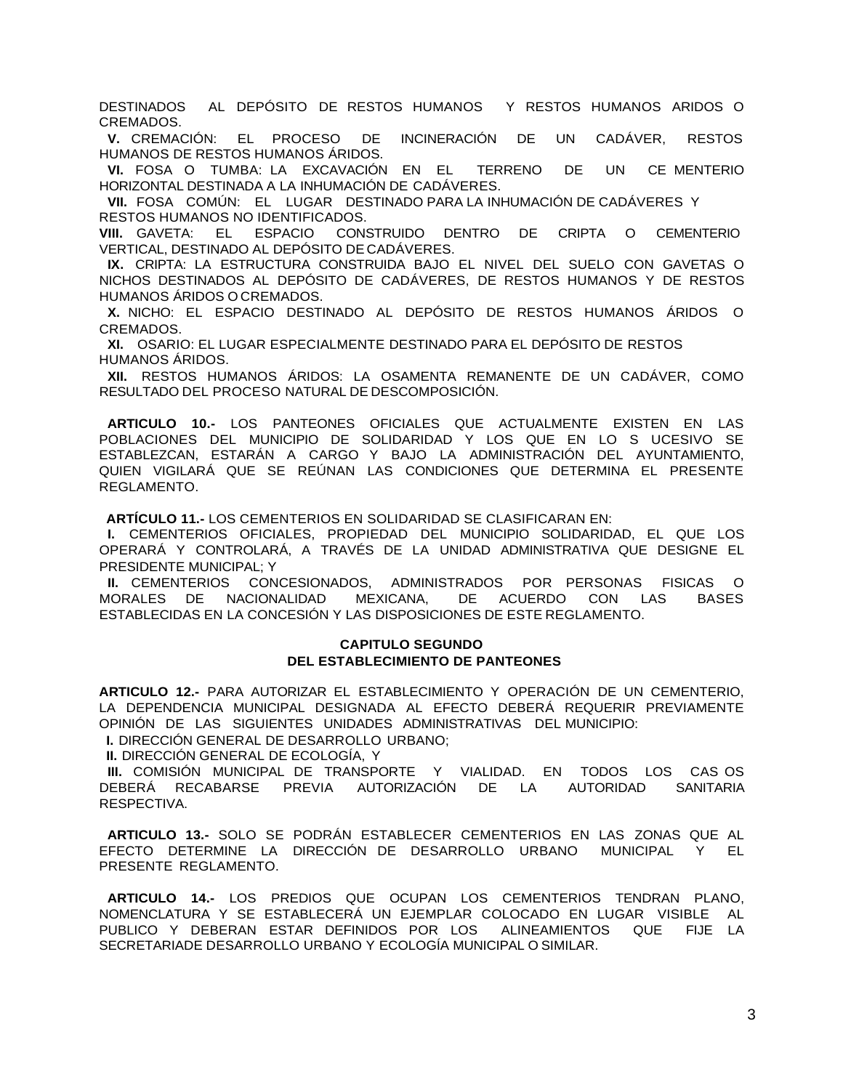DESTINADOS AL DEPÓSITO DE RESTOS HUMANOS Y RESTOS HUMANOS ARIDOS O CREMADOS.

**V.** CREMACIÓN: EL PROCESO DE INCINERACIÓN DE UN CADÁVER, RESTOS HUMANOS DE RESTOS HUMANOS ÁRIDOS.

**VI.** FOSA O TUMBA: LA EXCAVACIÓN EN EL TERRENO DE UN CE MENTERIO HORIZONTAL DESTINADA A LA INHUMACIÓN DE CADÁVERES.

**VII.** FOSA COMÚN: EL LUGAR DESTINADO PARA LA INHUMACIÓN DE CADÁVERES Y RESTOS HUMANOS NO IDENTIFICADOS.

**VIII.** GAVETA: EL ESPACIO CONSTRUIDO DENTRO DE CRIPTA O CEMENTERIO VERTICAL, DESTINADO AL DEPÓSITO DE CADÁVERES.

**IX.** CRIPTA: LA ESTRUCTURA CONSTRUIDA BAJO EL NIVEL DEL SUELO CON GAVETAS O NICHOS DESTINADOS AL DEPÓSITO DE CADÁVERES, DE RESTOS HUMANOS Y DE RESTOS HUMANOS ÁRIDOS O CREMADOS.

**X.** NICHO: EL ESPACIO DESTINADO AL DEPÓSITO DE RESTOS HUMANOS ÁRIDOS O CREMADOS.

**XI.** OSARIO: EL LUGAR ESPECIALMENTE DESTINADO PARA EL DEPÓSITO DE RESTOS HUMANOS ÁRIDOS.

**XII.** RESTOS HUMANOS ÁRIDOS: LA OSAMENTA REMANENTE DE UN CADÁVER, COMO RESULTADO DEL PROCESO NATURAL DE DESCOMPOSICIÓN.

**ARTICULO 10.-** LOS PANTEONES OFICIALES QUE ACTUALMENTE EXISTEN EN LAS POBLACIONES DEL MUNICIPIO DE SOLIDARIDAD Y LOS QUE EN LO S UCESIVO SE ESTABLEZCAN, ESTARÁN A CARGO Y BAJO LA ADMINISTRACIÓN DEL AYUNTAMIENTO, QUIEN VIGILARÁ QUE SE REÚNAN LAS CONDICIONES QUE DETERMINA EL PRESENTE REGLAMENTO.

**ARTÍCULO 11.-** LOS CEMENTERIOS EN SOLIDARIDAD SE CLASIFICARAN EN:

**I.** CEMENTERIOS OFICIALES, PROPIEDAD DEL MUNICIPIO SOLIDARIDAD, EL QUE LOS OPERARÁ Y CONTROLARÁ, A TRAVÉS DE LA UNIDAD ADMINISTRATIVA QUE DESIGNE EL PRESIDENTE MUNICIPAL; Y

**II.** CEMENTERIOS CONCESIONADOS, ADMINISTRADOS POR PERSONAS FISICAS O MORALES DE NACIONALIDAD MEXICANA, DE ACUERDO CON LAS BASES ESTABLECIDAS EN LA CONCESIÓN Y LAS DISPOSICIONES DE ESTE REGLAMENTO.

### **CAPITULO SEGUNDO DEL ESTABLECIMIENTO DE PANTEONES**

**ARTICULO 12.-** PARA AUTORIZAR EL ESTABLECIMIENTO Y OPERACIÓN DE UN CEMENTERIO, LA DEPENDENCIA MUNICIPAL DESIGNADA AL EFECTO DEBERÁ REQUERIR PREVIAMENTE OPINIÓN DE LAS SIGUIENTES UNIDADES ADMINISTRATIVAS DEL MUNICIPIO:

**I.** DIRECCIÓN GENERAL DE DESARROLLO URBANO;

**II.** DIRECCIÓN GENERAL DE ECOLOGÍA, Y

**III.** COMISIÓN MUNICIPAL DE TRANSPORTE Y VIALIDAD. EN TODOS LOS CAS OS DEBERÁ RECABARSE PREVIA AUTORIZACIÓN DE LA AUTORIDAD SANITARIA RESPECTIVA.

**ARTICULO 13.-** SOLO SE PODRÁN ESTABLECER CEMENTERIOS EN LAS ZONAS QUE AL EFECTO DETERMINE LA DIRECCIÓN DE DESARROLLO URBANO MUNICIPAL Y EL PRESENTE REGLAMENTO.

**ARTICULO 14.-** LOS PREDIOS QUE OCUPAN LOS CEMENTERIOS TENDRAN PLANO, NOMENCLATURA Y SE ESTABLECERÁ UN EJEMPLAR COLOCADO EN LUGAR VISIBLE AL PUBLICO Y DEBERAN ESTAR DEFINIDOS POR LOS ALINEAMIENTOS QUE FIJE LA SECRETARIADE DESARROLLO URBANO Y ECOLOGÍA MUNICIPAL O SIMILAR.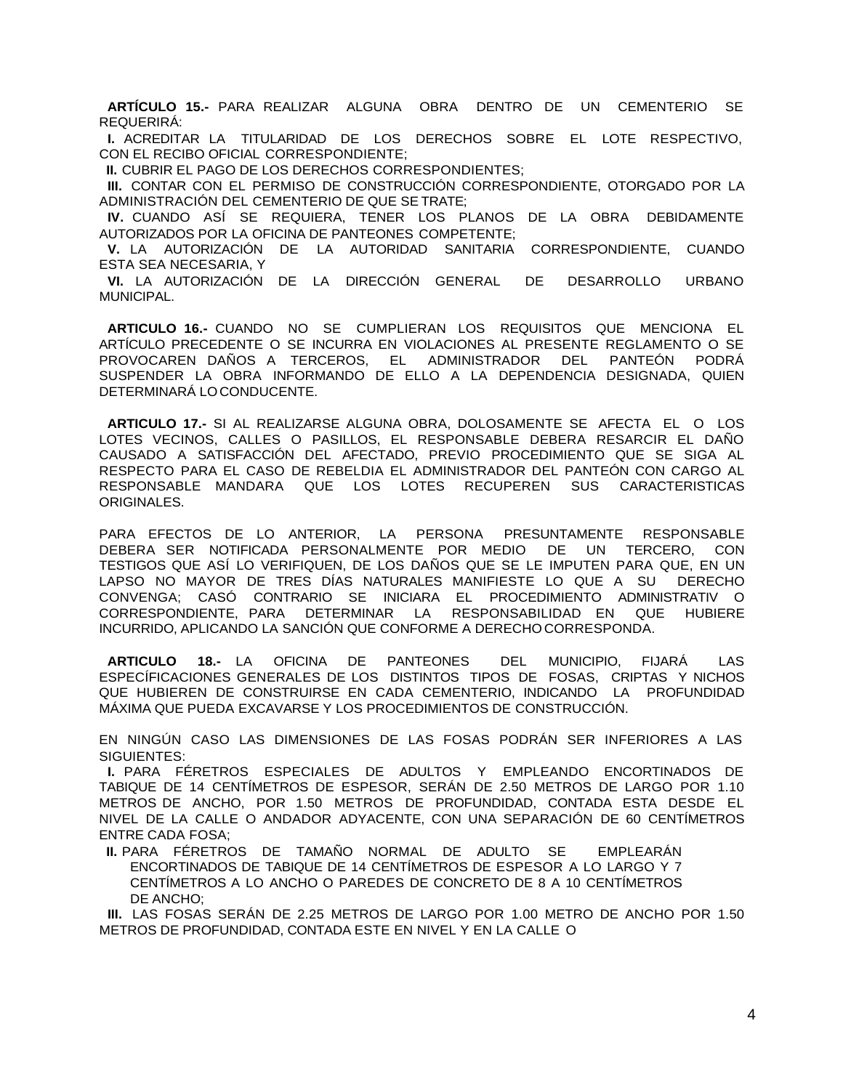**ARTÍCULO 15.-** PARA REALIZAR ALGUNA OBRA DENTRO DE UN CEMENTERIO SE REQUERIRÁ:

**I.** ACREDITAR LA TITULARIDAD DE LOS DERECHOS SOBRE EL LOTE RESPECTIVO, CON EL RECIBO OFICIAL CORRESPONDIENTE;

**II.** CUBRIR EL PAGO DE LOS DERECHOS CORRESPONDIENTES;

**III.** CONTAR CON EL PERMISO DE CONSTRUCCIÓN CORRESPONDIENTE, OTORGADO POR LA ADMINISTRACIÓN DEL CEMENTERIO DE QUE SE TRATE;

**IV.** CUANDO ASÍ SE REQUIERA, TENER LOS PLANOS DE LA OBRA DEBIDAMENTE AUTORIZADOS POR LA OFICINA DE PANTEONES COMPETENTE;

**V.** LA AUTORIZACIÓN DE LA AUTORIDAD SANITARIA CORRESPONDIENTE, CUANDO ESTA SEA NECESARIA, Y

**VI.** LA AUTORIZACIÓN DE LA DIRECCIÓN GENERAL DE DESARROLLO URBANO MUNICIPAL.

**ARTICULO 16.-** CUANDO NO SE CUMPLIERAN LOS REQUISITOS QUE MENCIONA EL ARTÍCULO PRECEDENTE O SE INCURRA EN VIOLACIONES AL PRESENTE REGLAMENTO O SE PROVOCAREN DAÑOS A TERCEROS, EL ADMINISTRADOR DEL PANTEÓN PODRÁ SUSPENDER LA OBRA INFORMANDO DE ELLO A LA DEPENDENCIA DESIGNADA, QUIEN DETERMINARÁ LOCONDUCENTE.

**ARTICULO 17.-** SI AL REALIZARSE ALGUNA OBRA, DOLOSAMENTE SE AFECTA EL O LOS LOTES VECINOS, CALLES O PASILLOS, EL RESPONSABLE DEBERA RESARCIR EL DAÑO CAUSADO A SATISFACCIÓN DEL AFECTADO, PREVIO PROCEDIMIENTO QUE SE SIGA AL RESPECTO PARA EL CASO DE REBELDIA EL ADMINISTRADOR DEL PANTEÓN CON CARGO AL RESPONSABLE MANDARA QUE LOS LOTES RECUPEREN SUS CARACTERISTICAS ORIGINALES.

PARA EFECTOS DE LO ANTERIOR, LA PERSONA PRESUNTAMENTE RESPONSABLE DEBERA SER NOTIFICADA PERSONALMENTE POR MEDIO DE UN TERCERO, CON TESTIGOS QUE ASÍ LO VERIFIQUEN, DE LOS DAÑOS QUE SE LE IMPUTEN PARA QUE, EN UN LAPSO NO MAYOR DE TRES DÍAS NATURALES MANIFIESTE LO QUE A SU DERECHO CONVENGA; CASÓ CONTRARIO SE INICIARA EL PROCEDIMIENTO ADMINISTRATIV O CORRESPONDIENTE, PARA DETERMINAR LA RESPONSABILIDAD EN QUE HUBIERE INCURRIDO, APLICANDO LA SANCIÓN QUE CONFORME A DERECHOCORRESPONDA.

**ARTICULO 18.-** LA OFICINA DE PANTEONES DEL MUNICIPIO, FIJARÁ LAS ESPECÍFICACIONES GENERALES DE LOS DISTINTOS TIPOS DE FOSAS, CRIPTAS Y NICHOS QUE HUBIEREN DE CONSTRUIRSE EN CADA CEMENTERIO, INDICANDO LA PROFUNDIDAD MÁXIMA QUE PUEDA EXCAVARSE Y LOS PROCEDIMIENTOS DE CONSTRUCCIÓN.

EN NINGÚN CASO LAS DIMENSIONES DE LAS FOSAS PODRÁN SER INFERIORES A LAS SIGUIENTES:

**I.** PARA FÉRETROS ESPECIALES DE ADULTOS Y EMPLEANDO ENCORTINADOS DE TABIQUE DE 14 CENTÍMETROS DE ESPESOR, SERÁN DE 2.50 METROS DE LARGO POR 1.10 METROS DE ANCHO, POR 1.50 METROS DE PROFUNDIDAD, CONTADA ESTA DESDE EL NIVEL DE LA CALLE O ANDADOR ADYACENTE, CON UNA SEPARACIÓN DE 60 CENTÍMETROS ENTRE CADA FOSA;

**II.** PARA FÉRETROS DE TAMAÑO NORMAL DE ADULTO SE EMPLEARÁN ENCORTINADOS DE TABIQUE DE 14 CENTÍMETROS DE ESPESOR A LO LARGO Y 7 CENTÍMETROS A LO ANCHO O PAREDES DE CONCRETO DE 8 A 10 CENTÍMETROS DE ANCHO;

**III.** LAS FOSAS SERÁN DE 2.25 METROS DE LARGO POR 1.00 METRO DE ANCHO POR 1.50 METROS DE PROFUNDIDAD, CONTADA ESTE EN NIVEL Y EN LA CALLE O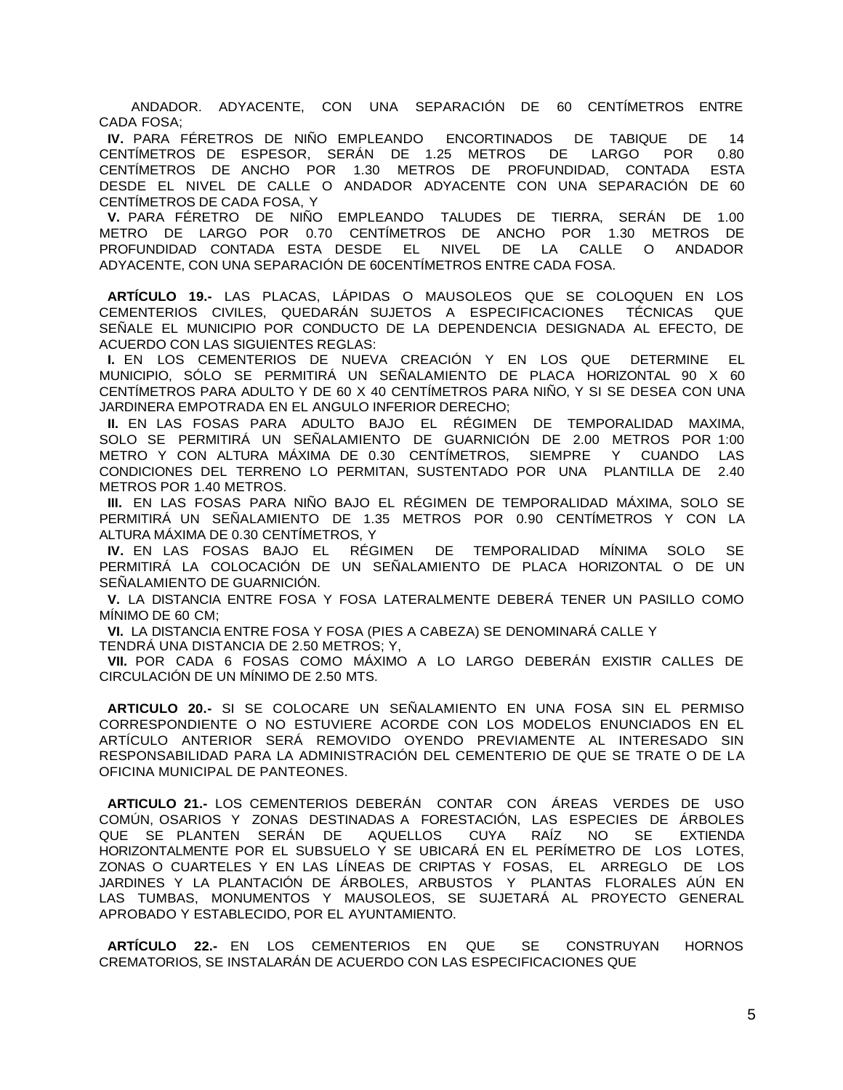ANDADOR. ADYACENTE, CON UNA SEPARACIÓN DE 60 CENTÍMETROS ENTRE CADA FOSA;

**IV.** PARA FÉRETROS DE NIÑO EMPLEANDO ENCORTINADOS DE TABIQUE DE 14 CENTÍMETROS DE ESPESOR, SERÁN DE 1.25 METROS DE LARGO POR 0.80 CENTÍMETROS DE ANCHO POR 1.30 METROS DE PROFUNDIDAD, CONTADA ESTA DESDE EL NIVEL DE CALLE O ANDADOR ADYACENTE CON UNA SEPARACIÓN DE 60 CENTÍMETROS DE CADA FOSA, Y

**V.** PARA FÉRETRO DE NIÑO EMPLEANDO TALUDES DE TIERRA, SERÁN DE 1.00 METRO DE LARGO POR 0.70 CENTÍMETROS DE ANCHO POR 1.30 METROS DE PROFUNDIDAD CONTADA ESTA DESDE EL NIVEL DE LA CALLE O ANDADOR ADYACENTE, CON UNA SEPARACIÓN DE 60CENTÍMETROS ENTRE CADA FOSA.

**ARTÍCULO 19.-** LAS PLACAS, LÁPIDAS O MAUSOLEOS QUE SE COLOQUEN EN LOS CEMENTERIOS CIVILES, QUEDARÁN SUJETOS A ESPECIFICACIONES TÉCNICAS QUE SEÑALE EL MUNICIPIO POR CONDUCTO DE LA DEPENDENCIA DESIGNADA AL EFECTO, DE ACUERDO CON LAS SIGUIENTES REGLAS:

**I.** EN LOS CEMENTERIOS DE NUEVA CREACIÓN Y EN LOS QUE DETERMINE EL MUNICIPIO, SÓLO SE PERMITIRÁ UN SEÑALAMIENTO DE PLACA HORIZONTAL 90 X 60 CENTÍMETROS PARA ADULTO Y DE 60 X 40 CENTÍMETROS PARA NIÑO, Y SI SE DESEA CON UNA JARDINERA EMPOTRADA EN EL ANGULO INFERIOR DERECHO;

**II.** EN LAS FOSAS PARA ADULTO BAJO EL RÉGIMEN DE TEMPORALIDAD MAXIMA, SOLO SE PERMITIRÁ UN SEÑALAMIENTO DE GUARNICIÓN DE 2.00 METROS POR 1:00 METRO Y CON ALTURA MÁXIMA DE 0.30 CENTÍMETROS, SIEMPRE Y CUANDO LAS CONDICIONES DEL TERRENO LO PERMITAN, SUSTENTADO POR UNA PLANTILLA DE 2.40 METROS POR 1.40 METROS.

**III.** EN LAS FOSAS PARA NIÑO BAJO EL RÉGIMEN DE TEMPORALIDAD MÁXIMA, SOLO SE PERMITIRÁ UN SEÑALAMIENTO DE 1.35 METROS POR 0.90 CENTÍMETROS Y CON LA ALTURA MÁXIMA DE 0.30 CENTÍMETROS, Y

**IV.** EN LAS FOSAS BAJO EL RÉGIMEN DE TEMPORALIDAD MÍNIMA SOLO SE PERMITIRÁ LA COLOCACIÓN DE UN SEÑALAMIENTO DE PLACA HORIZONTAL O DE UN SEÑALAMIENTO DE GUARNICIÓN.

**V.** LA DISTANCIA ENTRE FOSA Y FOSA LATERALMENTE DEBERÁ TENER UN PASILLO COMO MÍNIMO DE 60 CM;

**VI.** LA DISTANCIA ENTRE FOSA Y FOSA (PIES A CABEZA) SE DENOMINARÁ CALLE Y

TENDRÁ UNA DISTANCIA DE 2.50 METROS; Y,

**VII.** POR CADA 6 FOSAS COMO MÁXIMO A LO LARGO DEBERÁN EXISTIR CALLES DE CIRCULACIÓN DE UN MÍNIMO DE 2.50 MTS.

**ARTICULO 20.-** SI SE COLOCARE UN SEÑALAMIENTO EN UNA FOSA SIN EL PERMISO CORRESPONDIENTE O NO ESTUVIERE ACORDE CON LOS MODELOS ENUNCIADOS EN EL ARTÍCULO ANTERIOR SERÁ REMOVIDO OYENDO PREVIAMENTE AL INTERESADO SIN RESPONSABILIDAD PARA LA ADMINISTRACIÓN DEL CEMENTERIO DE QUE SE TRATE O DE LA OFICINA MUNICIPAL DE PANTEONES.

**ARTICULO 21.-** LOS CEMENTERIOS DEBERÁN CONTAR CON ÁREAS VERDES DE USO COMÚN, OSARIOS Y ZONAS DESTINADAS A FORESTACIÓN, LAS ESPECIES DE ÁRBOLES QUE SE PLANTEN SERÁN DE AQUELLOS CUYA RAÍZ NO SE EXTIENDA HORIZONTALMENTE POR EL SUBSUELO Y SE UBICARÁ EN EL PERÍMETRO DE LOS LOTES, ZONAS O CUARTELES Y EN LAS LÍNEAS DE CRIPTAS Y FOSAS, EL ARREGLO DE LOS JARDINES Y LA PLANTACIÓN DE ÁRBOLES, ARBUSTOS Y PLANTAS FLORALES AÚN EN LAS TUMBAS, MONUMENTOS Y MAUSOLEOS, SE SUJETARÁ AL PROYECTO GENERAL APROBADO Y ESTABLECIDO, POR EL AYUNTAMIENTO.

**ARTÍCULO 22.-** EN LOS CEMENTERIOS EN QUE SE CONSTRUYAN HORNOS CREMATORIOS, SE INSTALARÁN DE ACUERDO CON LAS ESPECIFICACIONES QUE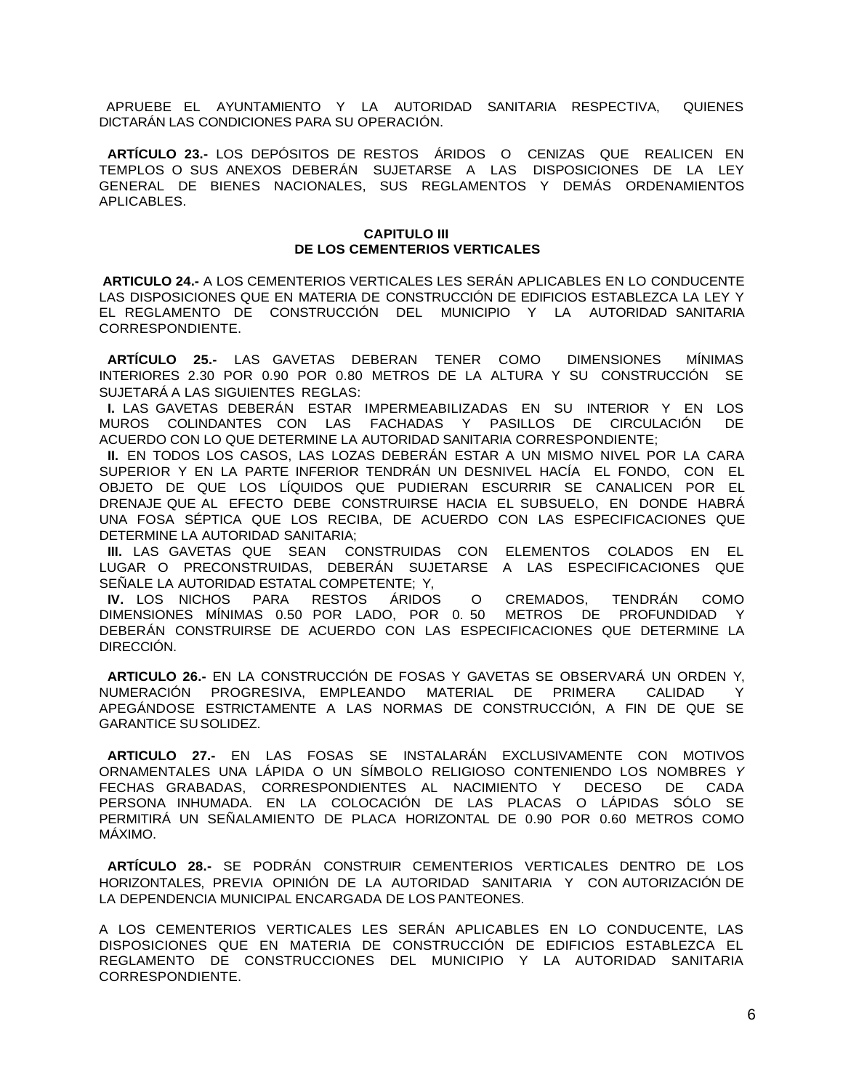APRUEBE EL AYUNTAMIENTO Y LA AUTORIDAD SANITARIA RESPECTIVA, QUIENES DICTARÁN LAS CONDICIONES PARA SU OPERACIÓN.

**ARTÍCULO 23.-** LOS DEPÓSITOS DE RESTOS ÁRIDOS O CENIZAS QUE REALICEN EN TEMPLOS O SUS ANEXOS DEBERÁN SUJETARSE A LAS DISPOSICIONES DE LA LEY GENERAL DE BIENES NACIONALES, SUS REGLAMENTOS Y DEMÁS ORDENAMIENTOS APLICABLES.

#### **CAPITULO III DE LOS CEMENTERIOS VERTICALES**

**ARTICULO 24.-** A LOS CEMENTERIOS VERTICALES LES SERÁN APLICABLES EN LO CONDUCENTE LAS DISPOSICIONES QUE EN MATERIA DE CONSTRUCCIÓN DE EDIFICIOS ESTABLEZCA LA LEY Y EL REGLAMENTO DE CONSTRUCCIÓN DEL MUNICIPIO Y LA AUTORIDAD SANITARIA CORRESPONDIENTE.

**ARTÍCULO 25.-** LAS GAVETAS DEBERAN TENER COMO DIMENSIONES MÍNIMAS INTERIORES 2.30 POR 0.90 POR 0.80 METROS DE LA ALTURA Y SU CONSTRUCCIÓN SE SUJETARÁ A LAS SIGUIENTES REGLAS:

**I.** LAS GAVETAS DEBERÁN ESTAR IMPERMEABILIZADAS EN SU INTERIOR Y EN LOS MUROS COLINDANTES CON LAS FACHADAS Y PASILLOS DE CIRCULACIÓN DE ACUERDO CON LO QUE DETERMINE LA AUTORIDAD SANITARIA CORRESPONDIENTE;

**II.** EN TODOS LOS CASOS, LAS LOZAS DEBERÁN ESTAR A UN MISMO NIVEL POR LA CARA SUPERIOR Y EN LA PARTE INFERIOR TENDRÁN UN DESNIVEL HACÍA EL FONDO, CON EL OBJETO DE QUE LOS LÍQUIDOS QUE PUDIERAN ESCURRIR SE CANALICEN POR EL DRENAJE QUE AL EFECTO DEBE CONSTRUIRSE HACIA EL SUBSUELO, EN DONDE HABRÁ UNA FOSA SÉPTICA QUE LOS RECIBA, DE ACUERDO CON LAS ESPECIFICACIONES QUE DETERMINE LA AUTORIDAD SANITARIA;

**III.** LAS GAVETAS QUE SEAN CONSTRUIDAS CON ELEMENTOS COLADOS EN EL LUGAR O PRECONSTRUIDAS, DEBERÁN SUJETARSE A LAS ESPECIFICACIONES QUE SEÑALE LA AUTORIDAD ESTATAL COMPETENTE; Y,

**IV.** LOS NICHOS PARA RESTOS ÁRIDOS O CREMADOS, TENDRÁN COMO DIMENSIONES MÍNIMAS 0.50 POR LADO, POR 0. 50 METROS DE PROFUNDIDAD Y DEBERÁN CONSTRUIRSE DE ACUERDO CON LAS ESPECIFICACIONES QUE DETERMINE LA DIRECCIÓN.

**ARTICULO 26.-** EN LA CONSTRUCCIÓN DE FOSAS Y GAVETAS SE OBSERVARÁ UN ORDEN Y, NUMERACIÓN PROGRESIVA, EMPLEANDO MATERIAL DE PRIMERA CALIDAD Y APEGÁNDOSE ESTRICTAMENTE A LAS NORMAS DE CONSTRUCCIÓN, A FIN DE QUE SE GARANTICE SU SOLIDEZ.

**ARTICULO 27.-** EN LAS FOSAS SE INSTALARÁN EXCLUSIVAMENTE CON MOTIVOS ORNAMENTALES UNA LÁPIDA O UN SÍMBOLO RELIGIOSO CONTENIENDO LOS NOMBRES *Y*  FECHAS GRABADAS, CORRESPONDIENTES AL NACIMIENTO Y DECESO DE CADA PERSONA INHUMADA. EN LA COLOCACIÓN DE LAS PLACAS O LÁPIDAS SÓLO SE PERMITIRÁ UN SEÑALAMIENTO DE PLACA HORIZONTAL DE 0.90 POR 0.60 METROS COMO MÁXIMO.

**ARTÍCULO 28.-** SE PODRÁN CONSTRUIR CEMENTERIOS VERTICALES DENTRO DE LOS HORIZONTALES, PREVIA OPINIÓN DE LA AUTORIDAD SANITARIA Y CON AUTORIZACIÓN DE LA DEPENDENCIA MUNICIPAL ENCARGADA DE LOS PANTEONES.

A LOS CEMENTERIOS VERTICALES LES SERÁN APLICABLES EN LO CONDUCENTE, LAS DISPOSICIONES QUE EN MATERIA DE CONSTRUCCIÓN DE EDIFICIOS ESTABLEZCA EL REGLAMENTO DE CONSTRUCCIONES DEL MUNICIPIO Y LA AUTORIDAD SANITARIA CORRESPONDIENTE.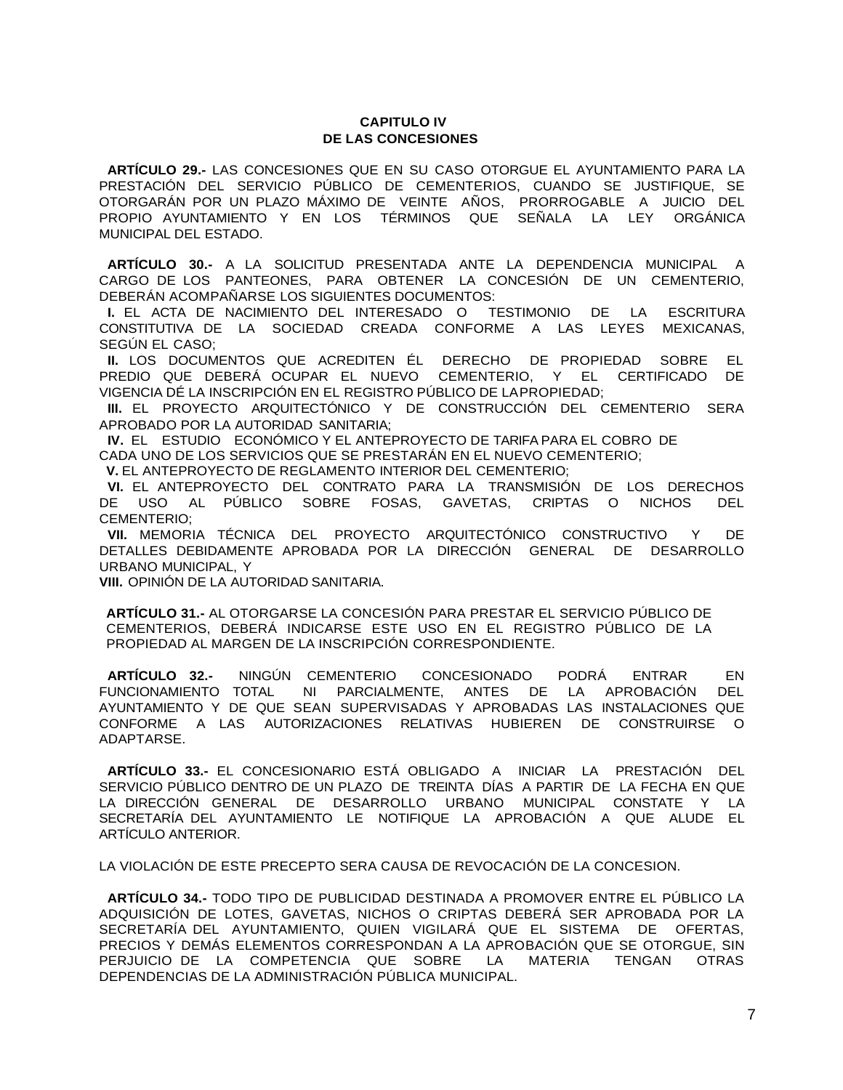# **CAPITULO IV DE LAS CONCESIONES**

**ARTÍCULO 29.-** LAS CONCESIONES QUE EN SU CASO OTORGUE EL AYUNTAMIENTO PARA LA PRESTACIÓN DEL SERVICIO PÚBLICO DE CEMENTERIOS, CUANDO SE JUSTIFIQUE, SE OTORGARÁN POR UN PLAZO MÁXIMO DE VEINTE AÑOS, PRORROGABLE A JUICIO DEL PROPIO AYUNTAMIENTO Y EN LOS TÉRMINOS QUE SEÑALA LA LEY ORGÁNICA MUNICIPAL DEL ESTADO.

**ARTÍCULO 30.-** A LA SOLICITUD PRESENTADA ANTE LA DEPENDENCIA MUNICIPAL A CARGO DE LOS PANTEONES, PARA OBTENER LA CONCESIÓN DE UN CEMENTERIO, DEBERÁN ACOMPAÑARSE LOS SIGUIENTES DOCUMENTOS:

**I.** EL ACTA DE NACIMIENTO DEL INTERESADO O TESTIMONIO DE LA ESCRITURA CONSTITUTIVA DE LA SOCIEDAD CREADA CONFORME A LAS LEYES MEXICANAS, SEGÚN EL CASO;

**II.** LOS DOCUMENTOS QUE ACREDITEN ÉL DERECHO DE PROPIEDAD SOBRE EL PREDIO QUE DEBERÁ OCUPAR EL NUEVO CEMENTERIO, Y EL CERTIFICADO DE VIGENCIA DÉ LA INSCRIPCIÓN EN EL REGISTRO PÚBLICO DE LAPROPIEDAD;

**III.** EL PROYECTO ARQUITECTÓNICO Y DE CONSTRUCCIÓN DEL CEMENTERIO SERA APROBADO POR LA AUTORIDAD SANITARIA;

**IV.** EL ESTUDIO ECONÓMICO Y EL ANTEPROYECTO DE TARIFA PARA EL COBRO DE

CADA UNO DE LOS SERVICIOS QUE SE PRESTARÁN EN EL NUEVO CEMENTERIO;

**V.** EL ANTEPROYECTO DE REGLAMENTO INTERIOR DEL CEMENTERIO;

**VI.** EL ANTEPROYECTO DEL CONTRATO PARA LA TRANSMISIÓN DE LOS DERECHOS DE USO AL PÚBLICO SOBRE FOSAS, GAVETAS, CRIPTAS O NICHOS DEL CEMENTERIO;

**VII.** MEMORIA TÉCNICA DEL PROYECTO ARQUITECTÓNICO CONSTRUCTIVO Y DE DETALLES DEBIDAMENTE APROBADA POR LA DIRECCIÓN GENERAL DE DESARROLLO URBANO MUNICIPAL, Y

**VIII.** OPINIÓN DE LA AUTORIDAD SANITARIA.

**ARTÍCULO 31.-** AL OTORGARSE LA CONCESIÓN PARA PRESTAR EL SERVICIO PÚBLICO DE CEMENTERIOS, DEBERÁ INDICARSE ESTE USO EN EL REGISTRO PÚBLICO DE LA PROPIEDAD AL MARGEN DE LA INSCRIPCIÓN CORRESPONDIENTE.

**ARTÍCULO 32.-** NINGÚN CEMENTERIO CONCESIONADO PODRÁ ENTRAR EN FUNCIONAMIENTO TOTAL NI PARCIALMENTE, ANTES DE LA APROBACIÓN DEL AYUNTAMIENTO Y DE QUE SEAN SUPERVISADAS Y APROBADAS LAS INSTALACIONES QUE CONFORME A LAS AUTORIZACIONES RELATIVAS HUBIEREN DE CONSTRUIRSE O ADAPTARSE.

**ARTÍCULO 33.-** EL CONCESIONARIO ESTÁ OBLIGADO A INICIAR LA PRESTACIÓN DEL SERVICIO PÚBLICO DENTRO DE UN PLAZO DE TREINTA DÍAS A PARTIR DE LA FECHA EN QUE LA DIRECCIÓN GENERAL DE DESARROLLO URBANO MUNICIPAL CONSTATE Y LA SECRETARÍA DEL AYUNTAMIENTO LE NOTIFIQUE LA APROBACIÓN A QUE ALUDE EL ARTÍCULO ANTERIOR.

LA VIOLACIÓN DE ESTE PRECEPTO SERA CAUSA DE REVOCACIÓN DE LA CONCESION.

**ARTÍCULO 34.-** TODO TIPO DE PUBLICIDAD DESTINADA A PROMOVER ENTRE EL PÚBLICO LA ADQUISICIÓN DE LOTES, GAVETAS, NICHOS O CRIPTAS DEBERÁ SER APROBADA POR LA SECRETARÍA DEL AYUNTAMIENTO, QUIEN VIGILARÁ QUE EL SISTEMA DE OFERTAS, PRECIOS Y DEMÁS ELEMENTOS CORRESPONDAN A LA APROBACIÓN QUE SE OTORGUE, SIN PERJUICIO DE LA COMPETENCIA QUE SOBRE LA MATERIA TENGAN OTRAS DEPENDENCIAS DE LA ADMINISTRACIÓN PÚBLICA MUNICIPAL.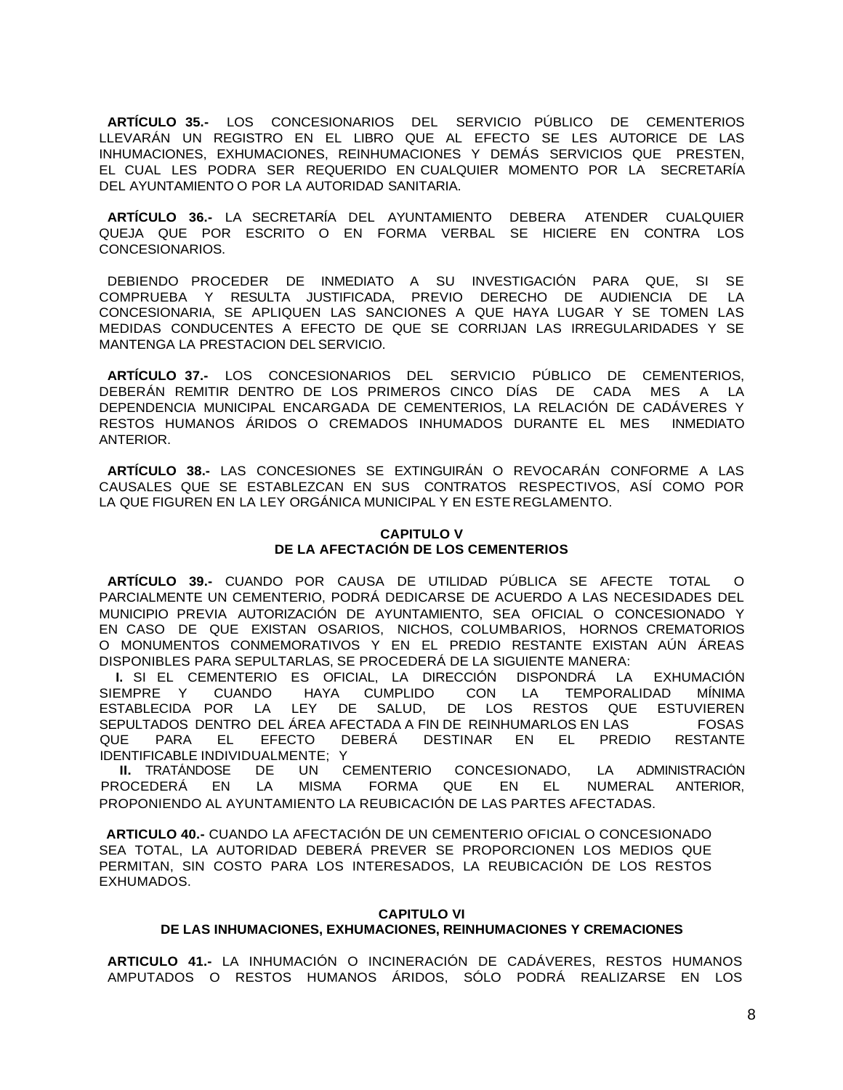**ARTÍCULO 35.-** LOS CONCESIONARIOS DEL SERVICIO PÚBLICO DE CEMENTERIOS LLEVARÁN UN REGISTRO EN EL LIBRO QUE AL EFECTO SE LES AUTORICE DE LAS INHUMACIONES, EXHUMACIONES, REINHUMACIONES Y DEMÁS SERVICIOS QUE PRESTEN, EL CUAL LES PODRA SER REQUERIDO EN CUALQUIER MOMENTO POR LA SECRETARÍA DEL AYUNTAMIENTO O POR LA AUTORIDAD SANITARIA.

**ARTÍCULO 36.-** LA SECRETARÍA DEL AYUNTAMIENTO DEBERA ATENDER CUALQUIER QUEJA QUE POR ESCRITO O EN FORMA VERBAL SE HICIERE EN CONTRA LOS CONCESIONARIOS.

DEBIENDO PROCEDER DE INMEDIATO A SU INVESTIGACIÓN PARA QUE, SI SE COMPRUEBA Y RESULTA JUSTIFICADA, PREVIO DERECHO DE AUDIENCIA DE LA CONCESIONARIA, SE APLIQUEN LAS SANCIONES A QUE HAYA LUGAR Y SE TOMEN LAS MEDIDAS CONDUCENTES A EFECTO DE QUE SE CORRIJAN LAS IRREGULARIDADES Y SE MANTENGA LA PRESTACION DEL SERVICIO.

**ARTÍCULO 37.-** LOS CONCESIONARIOS DEL SERVICIO PÚBLICO DE CEMENTERIOS, DEBERÁN REMITIR DENTRO DE LOS PRIMEROS CINCO DÍAS DE CADA MES A LA DEPENDENCIA MUNICIPAL ENCARGADA DE CEMENTERIOS, LA RELACIÓN DE CADÁVERES Y RESTOS HUMANOS ÁRIDOS O CREMADOS INHUMADOS DURANTE EL MES INMEDIATO ANTERIOR.

**ARTÍCULO 38.-** LAS CONCESIONES SE EXTINGUIRÁN O REVOCARÁN CONFORME A LAS CAUSALES QUE SE ESTABLEZCAN EN SUS CONTRATOS RESPECTIVOS, ASÍ COMO POR LA QUE FIGUREN EN LA LEY ORGÁNICA MUNICIPAL Y EN ESTE REGLAMENTO.

# **CAPITULO V DE LA AFECTACIÓN DE LOS CEMENTERIOS**

**ARTÍCULO 39.-** CUANDO POR CAUSA DE UTILIDAD PÚBLICA SE AFECTE TOTAL O PARCIALMENTE UN CEMENTERIO, PODRÁ DEDICARSE DE ACUERDO A LAS NECESIDADES DEL MUNICIPIO PREVIA AUTORIZACIÓN DE AYUNTAMIENTO, SEA OFICIAL O CONCESIONADO Y EN CASO DE QUE EXISTAN OSARIOS, NICHOS, COLUMBARIOS, HORNOS CREMATORIOS O MONUMENTOS CONMEMORATIVOS Y EN EL PREDIO RESTANTE EXISTAN AÚN ÁREAS DISPONIBLES PARA SEPULTARLAS, SE PROCEDERÁ DE LA SIGUIENTE MANERA:

**I.** SI EL CEMENTERIO ES OFICIAL, LA DIRECCIÓN DISPONDRÁ LA EXHUMACIÓN SIEMPRE Y CUANDO HAYA CUMPLIDO CON LA TEMPORALIDAD MÍNIMA ESTABLECIDA POR LA LEY DE SALUD, DE LOS RESTOS QUE ESTUVIEREN SEPULTADOS DENTRO DEL ÁREA AFECTADA A FIN DE REINHUMARLOS EN LAS FOSAS QUE PARA EL EFECTO DEBERÁ DESTINAR EN EL PREDIO RESTANTE IDENTIFICABLE INDIVIDUALMENTE; Y

**II.** TRATÁNDOSE DE UN CEMENTERIO CONCESIONADO, LA ADMINISTRACIÓN PROCEDERÁ EN LA MISMA FORMA QUE EN EL NUMERAL ANTERIOR, PROPONIENDO AL AYUNTAMIENTO LA REUBICACIÓN DE LAS PARTES AFECTADAS.

**ARTICULO 40.-** CUANDO LA AFECTACIÓN DE UN CEMENTERIO OFICIAL O CONCESIONADO SEA TOTAL, LA AUTORIDAD DEBERÁ PREVER SE PROPORCIONEN LOS MEDIOS QUE PERMITAN, SIN COSTO PARA LOS INTERESADOS, LA REUBICACIÓN DE LOS RESTOS EXHUMADOS.

### **CAPITULO VI DE LAS INHUMACIONES, EXHUMACIONES, REINHUMACIONES Y CREMACIONES**

**ARTICULO 41.-** LA INHUMACIÓN O INCINERACIÓN DE CADÁVERES, RESTOS HUMANOS AMPUTADOS O RESTOS HUMANOS ÁRIDOS, SÓLO PODRÁ REALIZARSE EN LOS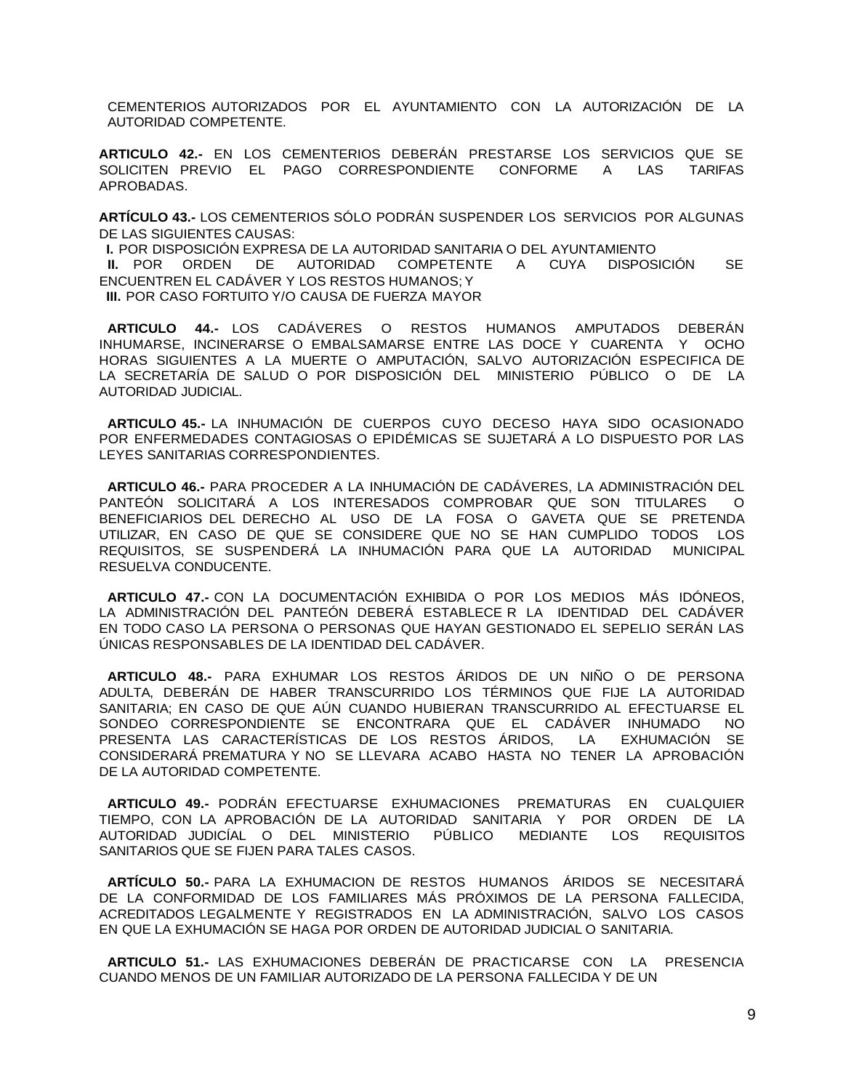CEMENTERIOS AUTORIZADOS POR EL AYUNTAMIENTO CON LA AUTORIZACIÓN DE LA AUTORIDAD COMPETENTE.

**ARTICULO 42.-** EN LOS CEMENTERIOS DEBERÁN PRESTARSE LOS SERVICIOS QUE SE SOLICITEN PREVIO EL PAGO CORRESPONDIENTE CONFORME A LAS TARIFAS APROBADAS.

**ARTÍCULO 43.-** LOS CEMENTERIOS SÓLO PODRÁN SUSPENDER LOS SERVICIOS POR ALGUNAS DE LAS SIGUIENTES CAUSAS:

**I.** POR DISPOSICIÓN EXPRESA DE LA AUTORIDAD SANITARIA O DEL AYUNTAMIENTO **II.** POR ORDEN DE AUTORIDAD COMPETENTE A CUYA DISPOSICIÓN SE ENCUENTREN EL CADÁVER Y LOS RESTOS HUMANOS; Y **III.** POR CASO FORTUITO Y/O CAUSA DE FUERZA MAYOR

**ARTICULO 44.-** LOS CADÁVERES O RESTOS HUMANOS AMPUTADOS DEBERÁN INHUMARSE, INCINERARSE O EMBALSAMARSE ENTRE LAS DOCE Y CUARENTA Y OCHO HORAS SIGUIENTES A LA MUERTE O AMPUTACIÓN, SALVO AUTORIZACIÓN ESPECIFICA DE LA SECRETARÍA DE SALUD O POR DISPOSICIÓN DEL MINISTERIO PÚBLICO O DE LA AUTORIDAD JUDICIAL.

**ARTICULO 45.-** LA INHUMACIÓN DE CUERPOS CUYO DECESO HAYA SIDO OCASIONADO POR ENFERMEDADES CONTAGIOSAS O EPIDÉMICAS SE SUJETARÁ A LO DISPUESTO POR LAS LEYES SANITARIAS CORRESPONDIENTES.

**ARTICULO 46.-** PARA PROCEDER A LA INHUMACIÓN DE CADÁVERES, LA ADMINISTRACIÓN DEL PANTEÓN SOLICITARÁ A LOS INTERESADOS COMPROBAR QUE SON TITULARES O BENEFICIARIOS DEL DERECHO AL USO DE LA FOSA O GAVETA QUE SE PRETENDA UTILIZAR, EN CASO DE QUE SE CONSIDERE QUE NO SE HAN CUMPLIDO TODOS LOS REQUISITOS, SE SUSPENDERÁ LA INHUMACIÓN PARA QUE LA AUTORIDAD MUNICIPAL RESUELVA CONDUCENTE.

**ARTICULO 47.-** CON LA DOCUMENTACIÓN EXHIBIDA O POR LOS MEDIOS MÁS IDÓNEOS, LA ADMINISTRACIÓN DEL PANTEÓN DEBERÁ ESTABLECE R LA IDENTIDAD DEL CADÁVER EN TODO CASO LA PERSONA O PERSONAS QUE HAYAN GESTIONADO EL SEPELIO SERÁN LAS ÚNICAS RESPONSABLES DE LA IDENTIDAD DEL CADÁVER.

**ARTICULO 48.-** PARA EXHUMAR LOS RESTOS ÁRIDOS DE UN NIÑO O DE PERSONA ADULTA, DEBERÁN DE HABER TRANSCURRIDO LOS TÉRMINOS QUE FIJE LA AUTORIDAD SANITARIA; EN CASO DE QUE AÚN CUANDO HUBIERAN TRANSCURRIDO AL EFECTUARSE EL SONDEO CORRESPONDIENTE SE ENCONTRARA QUE EL CADÁVER INHUMADO NO PRESENTA LAS CARACTERÍSTICAS DE LOS RESTOS ÁRIDOS, LA EXHUMACIÓN SE CONSIDERARÁ PREMATURA Y NO SE LLEVARA ACABO HASTA NO TENER LA APROBACIÓN DE LA AUTORIDAD COMPETENTE.

**ARTICULO 49.-** PODRÁN EFECTUARSE EXHUMACIONES PREMATURAS EN CUALQUIER TIEMPO, CON LA APROBACIÓN DE LA AUTORIDAD SANITARIA Y POR ORDEN DE LA AUTORIDAD JUDICÍAL O DEL MINISTERIO PÚBLICO MEDIANTE LOS REQUISITOS SANITARIOS QUE SE FIJEN PARA TALES CASOS.

**ARTÍCULO 50.-** PARA LA EXHUMACION DE RESTOS HUMANOS ÁRIDOS SE NECESITARÁ DE LA CONFORMIDAD DE LOS FAMILIARES MÁS PRÓXIMOS DE LA PERSONA FALLECIDA, ACREDITADOS LEGALMENTE Y REGISTRADOS EN LA ADMINISTRACIÓN, SALVO LOS CASOS EN QUE LA EXHUMACIÓN SE HAGA POR ORDEN DE AUTORIDAD JUDICIAL O SANITARIA.

**ARTICULO 51.-** LAS EXHUMACIONES DEBERÁN DE PRACTICARSE CON LA PRESENCIA CUANDO MENOS DE UN FAMILIAR AUTORIZADO DE LA PERSONA FALLECIDA Y DE UN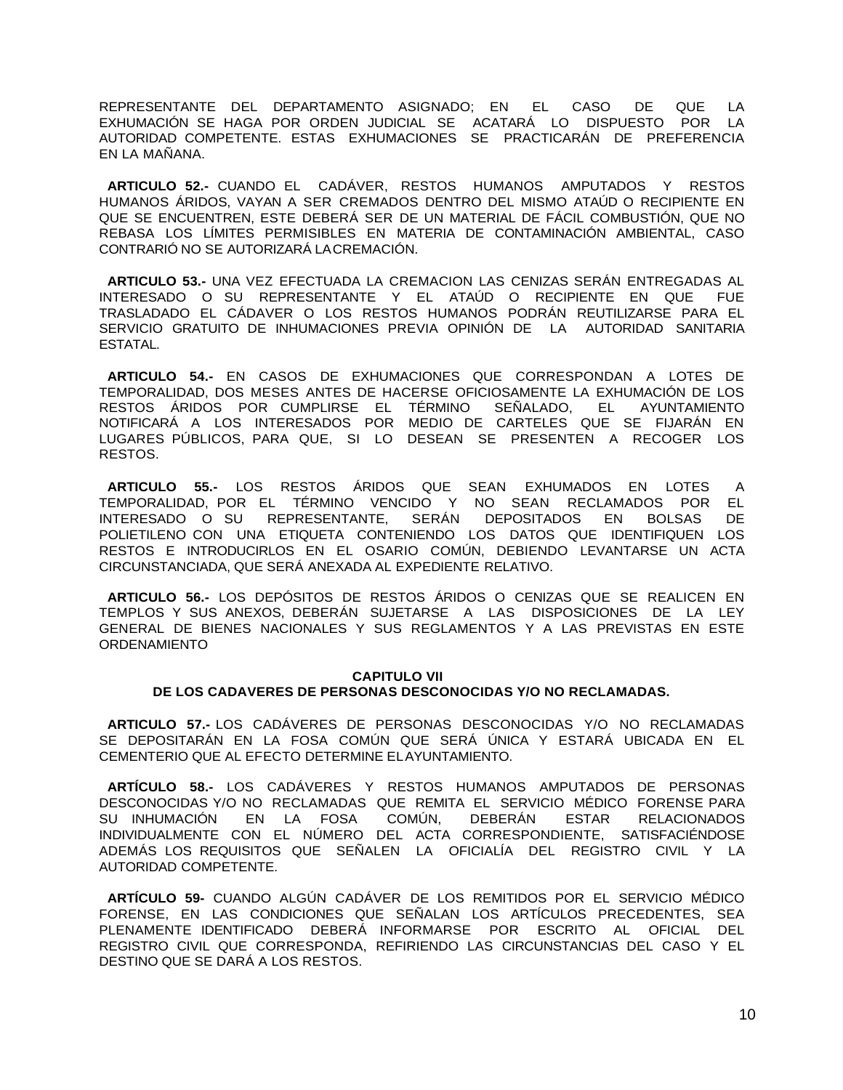REPRESENTANTE DEL DEPARTAMENTO ASIGNADO; EN EL CASO DE QUE LA EXHUMACIÓN SE HAGA POR ORDEN JUDICIAL SE ACATARÁ LO DISPUESTO POR LA AUTORIDAD COMPETENTE. ESTAS EXHUMACIONES SE PRACTICARÁN DE PREFERENCIA EN LA MAÑANA.

**ARTICULO 52.-** CUANDO EL CADÁVER, RESTOS HUMANOS AMPUTADOS Y RESTOS HUMANOS ÁRIDOS, VAYAN A SER CREMADOS DENTRO DEL MISMO ATAÚD O RECIPIENTE EN QUE SE ENCUENTREN, ESTE DEBERÁ SER DE UN MATERIAL DE FÁCIL COMBUSTIÓN, QUE NO REBASA LOS LÍMITES PERMISIBLES EN MATERIA DE CONTAMINACIÓN AMBIENTAL, CASO CONTRARIÓ NO SE AUTORIZARÁ LACREMACIÓN.

**ARTICULO 53.-** UNA VEZ EFECTUADA LA CREMACION LAS CENIZAS SERÁN ENTREGADAS AL INTERESADO O SU REPRESENTANTE Y EL ATAÚD O RECIPIENTE EN QUE FUE TRASLADADO EL CÁDAVER O LOS RESTOS HUMANOS PODRÁN REUTILIZARSE PARA EL SERVICIO GRATUITO DE INHUMACIONES PREVIA OPINIÓN DE LA AUTORIDAD SANITARIA ESTATAL.

**ARTICULO 54.-** EN CASOS DE EXHUMACIONES QUE CORRESPONDAN A LOTES DE TEMPORALIDAD, DOS MESES ANTES DE HACERSE OFICIOSAMENTE LA EXHUMACIÓN DE LOS RESTOS ÁRIDOS POR CUMPLIRSE EL TÉRMINO SEÑALADO, EL AYUNTAMIENTO NOTIFICARÁ A LOS INTERESADOS POR MEDIO DE CARTELES QUE SE FIJARÁN EN LUGARES PÚBLICOS, PARA QUE, SI LO DESEAN SE PRESENTEN A RECOGER LOS RESTOS.

**ARTICULO 55.-** LOS RESTOS ÁRIDOS QUE SEAN EXHUMADOS EN LOTES A TEMPORALIDAD, POR EL TÉRMINO VENCIDO Y NO SEAN RECLAMADOS POR EL INTERESADO O SU REPRESENTANTE, SERÁN DEPOSITADOS EN BOLSAS DE POLIETILENO CON UNA ETIQUETA CONTENIENDO LOS DATOS QUE IDENTIFIQUEN LOS RESTOS E INTRODUCIRLOS EN EL OSARIO COMÚN, DEBIENDO LEVANTARSE UN ACTA CIRCUNSTANCIADA, QUE SERÁ ANEXADA AL EXPEDIENTE RELATIVO.

**ARTICULO 56.-** LOS DEPÓSITOS DE RESTOS ÁRIDOS O CENIZAS QUE SE REALICEN EN TEMPLOS Y SUS ANEXOS, DEBERÁN SUJETARSE A LAS DISPOSICIONES DE LA LEY GENERAL DE BIENES NACIONALES Y SUS REGLAMENTOS Y A LAS PREVISTAS EN ESTE ORDENAMIENTO

#### **CAPITULO VII DE LOS CADAVERES DE PERSONAS DESCONOCIDAS Y/O NO RECLAMADAS.**

**ARTICULO 57.-** LOS CADÁVERES DE PERSONAS DESCONOCIDAS Y/O NO RECLAMADAS SE DEPOSITARÁN EN LA FOSA COMÚN QUE SERÁ ÚNICA Y ESTARÁ UBICADA EN EL CEMENTERIO QUE AL EFECTO DETERMINE ELAYUNTAMIENTO.

**ARTÍCULO 58.-** LOS CADÁVERES Y RESTOS HUMANOS AMPUTADOS DE PERSONAS DESCONOCIDAS Y/O NO RECLAMADAS QUE REMITA EL SERVICIO MÉDICO FORENSE PARA SU INHUMACIÓN EN LA FOSA COMÚN, DEBERÁN ESTAR RELACIONADOS INDIVIDUALMENTE CON EL NÚMERO DEL ACTA CORRESPONDIENTE, SATISFACIÉNDOSE ADEMÁS LOS REQUISITOS QUE SEÑALEN LA OFICIALÍA DEL REGISTRO CIVIL Y LA AUTORIDAD COMPETENTE.

**ARTÍCULO 59-** CUANDO ALGÚN CADÁVER DE LOS REMITIDOS POR EL SERVICIO MÉDICO FORENSE, EN LAS CONDICIONES QUE SEÑALAN LOS ARTÍCULOS PRECEDENTES, SEA PLENAMENTE IDENTIFICADO DEBERÁ INFORMARSE POR ESCRITO AL OFICIAL DEL REGISTRO CIVIL QUE CORRESPONDA, REFIRIENDO LAS CIRCUNSTANCIAS DEL CASO Y EL DESTINO QUE SE DARÁ A LOS RESTOS.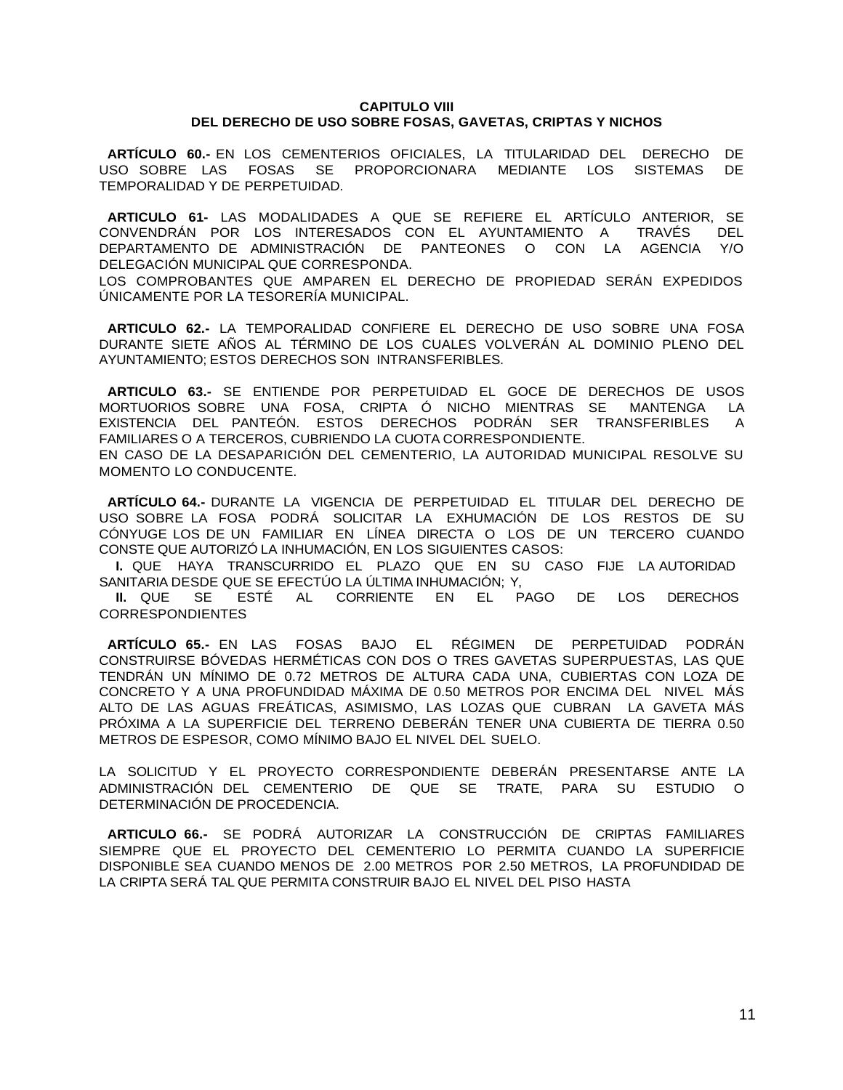### **CAPITULO VIII DEL DERECHO DE USO SOBRE FOSAS, GAVETAS, CRIPTAS Y NICHOS**

**ARTÍCULO 60.-** EN LOS CEMENTERIOS OFICIALES, LA TITULARIDAD DEL DERECHO DE USO SOBRE LAS FOSAS SE PROPORCIONARA MEDIANTE LOS SISTEMAS DE TEMPORALIDAD Y DE PERPETUIDAD.

**ARTICULO 61-** LAS MODALIDADES A QUE SE REFIERE EL ARTÍCULO ANTERIOR, SE CONVENDRÁN POR LOS INTERESADOS CON EL AYUNTAMIENTO A TRAVÉS DEL DEPARTAMENTO DE ADMINISTRACIÓN DE PANTEONES O CON LA AGENCIA Y/O DELEGACIÓN MUNICIPAL QUE CORRESPONDA.

LOS COMPROBANTES QUE AMPAREN EL DERECHO DE PROPIEDAD SERÁN EXPEDIDOS ÚNICAMENTE POR LA TESORERÍA MUNICIPAL.

**ARTICULO 62.-** LA TEMPORALIDAD CONFIERE EL DERECHO DE USO SOBRE UNA FOSA DURANTE SIETE AÑOS AL TÉRMINO DE LOS CUALES VOLVERÁN AL DOMINIO PLENO DEL AYUNTAMIENTO; ESTOS DERECHOS SON INTRANSFERIBLES.

**ARTICULO 63.-** SE ENTIENDE POR PERPETUIDAD EL GOCE DE DERECHOS DE USOS MORTUORIOS SOBRE UNA FOSA, CRIPTA Ó NICHO MIENTRAS SE MANTENGA LA EXISTENCIA DEL PANTEÓN. ESTOS DERECHOS PODRÁN SER TRANSFERIBLES A FAMILIARES O A TERCEROS, CUBRIENDO LA CUOTA CORRESPONDIENTE.

EN CASO DE LA DESAPARICIÓN DEL CEMENTERIO, LA AUTORIDAD MUNICIPAL RESOLVE SU MOMENTO LO CONDUCENTE.

**ARTÍCULO 64.-** DURANTE LA VIGENCIA DE PERPETUIDAD EL TITULAR DEL DERECHO DE USO SOBRE LA FOSA PODRÁ SOLICITAR LA EXHUMACIÓN DE LOS RESTOS DE SU CÓNYUGE LOS DE UN FAMILIAR EN LÍNEA DIRECTA O LOS DE UN TERCERO CUANDO CONSTE QUE AUTORIZÓ LA INHUMACIÓN, EN LOS SIGUIENTES CASOS:

**I.** QUE HAYA TRANSCURRIDO EL PLAZO QUE EN SU CASO FIJE LA AUTORIDAD SANITARIA DESDE QUE SE EFECTÚO LA ÚLTIMA INHUMACIÓN; Y,

**II.** QUE SE ESTÉ AL CORRIENTE EN EL PAGO DE LOS DERECHOS CORRESPONDIENTES

**ARTÍCULO 65.-** EN LAS FOSAS BAJO EL RÉGIMEN DE PERPETUIDAD PODRÁN CONSTRUIRSE BÓVEDAS HERMÉTICAS CON DOS O TRES GAVETAS SUPERPUESTAS, LAS QUE TENDRÁN UN MÍNIMO DE 0.72 METROS DE ALTURA CADA UNA, CUBIERTAS CON LOZA DE CONCRETO Y A UNA PROFUNDIDAD MÁXIMA DE 0.50 METROS POR ENCIMA DEL NIVEL MÁS ALTO DE LAS AGUAS FREÁTICAS, ASIMISMO, LAS LOZAS QUE CUBRAN LA GAVETA MÁS PRÓXIMA A LA SUPERFICIE DEL TERRENO DEBERÁN TENER UNA CUBIERTA DE TIERRA 0.50 METROS DE ESPESOR, COMO MÍNIMO BAJO EL NIVEL DEL SUELO.

LA SOLICITUD Y EL PROYECTO CORRESPONDIENTE DEBERÁN PRESENTARSE ANTE LA ADMINISTRACIÓN DEL CEMENTERIO DE QUE SE TRATE, PARA SU ESTUDIO O DETERMINACIÓN DE PROCEDENCIA.

**ARTICULO 66.-** SE PODRÁ AUTORIZAR LA CONSTRUCCIÓN DE CRIPTAS FAMILIARES SIEMPRE QUE EL PROYECTO DEL CEMENTERIO LO PERMITA CUANDO LA SUPERFICIE DISPONIBLE SEA CUANDO MENOS DE 2.00 METROS POR 2.50 METROS, LA PROFUNDIDAD DE LA CRIPTA SERÁ TAL QUE PERMITA CONSTRUIR BAJO EL NIVEL DEL PISO HASTA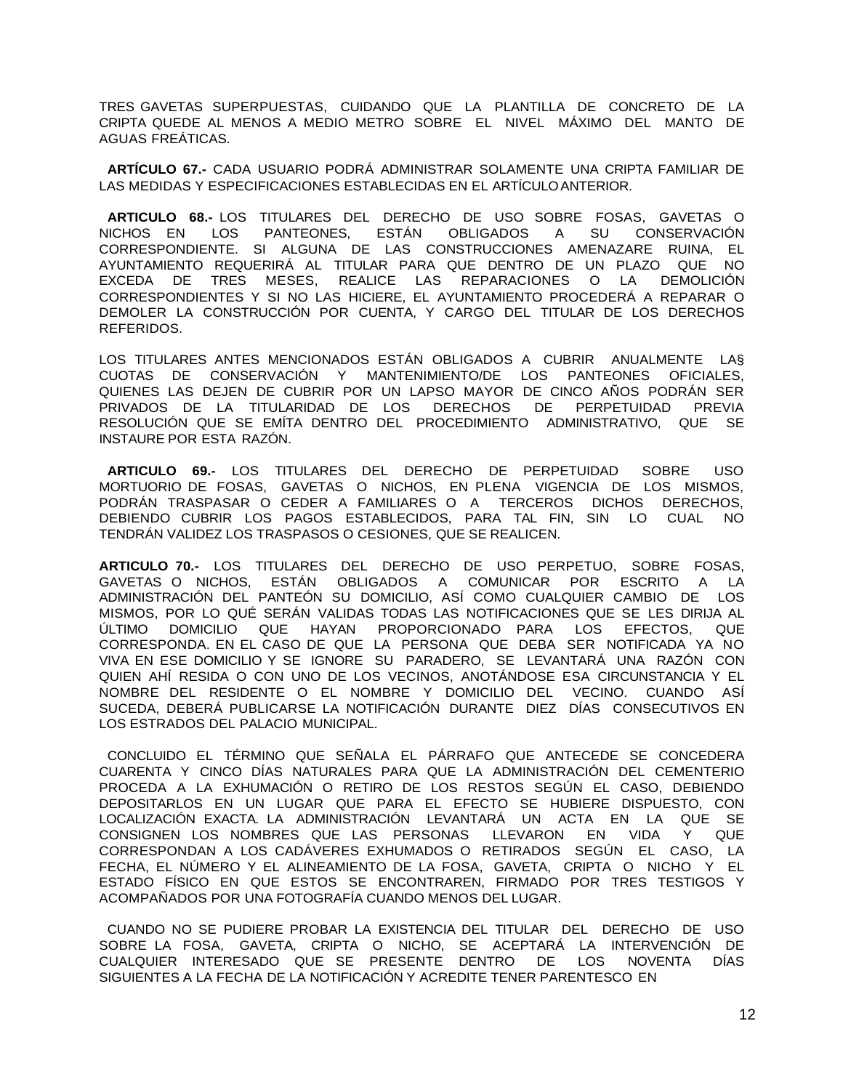TRES GAVETAS SUPERPUESTAS, CUIDANDO QUE LA PLANTILLA DE CONCRETO DE LA CRIPTA QUEDE AL MENOS A MEDIO METRO SOBRE EL NIVEL MÁXIMO DEL MANTO DE AGUAS FREÁTICAS.

**ARTÍCULO 67.-** CADA USUARIO PODRÁ ADMINISTRAR SOLAMENTE UNA CRIPTA FAMILIAR DE LAS MEDIDAS Y ESPECIFICACIONES ESTABLECIDAS EN EL ARTÍCULOANTERIOR.

**ARTICULO 68.-** LOS TITULARES DEL DERECHO DE USO SOBRE FOSAS, GAVETAS O NICHOS EN LOS PANTEONES, ESTÁN OBLIGADOS A SU CONSERVACIÓN CORRESPONDIENTE. SI ALGUNA DE LAS CONSTRUCCIONES AMENAZARE RUINA, EL AYUNTAMIENTO REQUERIRÁ AL TITULAR PARA QUE DENTRO DE UN PLAZO QUE NO EXCEDA DE TRES MESES, REALICE LAS REPARACIONES O LA DEMOLICIÓN CORRESPONDIENTES Y SI NO LAS HICIERE, EL AYUNTAMIENTO PROCEDERÁ A REPARAR O DEMOLER LA CONSTRUCCIÓN POR CUENTA, Y CARGO DEL TITULAR DE LOS DERECHOS REFERIDOS.

LOS TITULARES ANTES MENCIONADOS ESTÁN OBLIGADOS A CUBRIR ANUALMENTE LA§ CUOTAS DE CONSERVACIÓN Y MANTENIMIENTO/DE LOS PANTEONES OFICIALES, QUIENES LAS DEJEN DE CUBRIR POR UN LAPSO MAYOR DE CINCO AÑOS PODRÁN SER PRIVADOS DE LA TITULARIDAD DE LOS DERECHOS DE PERPETUIDAD PREVIA RESOLUCIÓN QUE SE EMÍTA DENTRO DEL PROCEDIMIENTO ADMINISTRATIVO, QUE SE INSTAURE POR ESTA RAZÓN.

**ARTICULO 69.-** LOS TITULARES DEL DERECHO DE PERPETUIDAD SOBRE USO MORTUORIO DE FOSAS, GAVETAS O NICHOS, EN PLENA VIGENCIA DE LOS MISMOS, PODRÁN TRASPASAR O CEDER A FAMILIARES O A TERCEROS DICHOS DERECHOS, DEBIENDO CUBRIR LOS PAGOS ESTABLECIDOS, PARA TAL FIN, SIN LO CUAL NO TENDRÁN VALIDEZ LOS TRASPASOS O CESIONES, QUE SE REALICEN.

**ARTICULO 70.-** LOS TITULARES DEL DERECHO DE USO PERPETUO, SOBRE FOSAS, GAVETAS O NICHOS, ESTÁN OBLIGADOS A COMUNICAR POR ESCRITO A LA ADMINISTRACIÓN DEL PANTEÓN SU DOMICILIO, ASÍ COMO CUALQUIER CAMBIO DE LOS MISMOS, POR LO QUÉ SERÁN VALIDAS TODAS LAS NOTIFICACIONES QUE SE LES DIRIJA AL ÚLTIMO DOMICILIO QUE HAYAN PROPORCIONADO PARA LOS EFECTOS, QUE CORRESPONDA. EN EL CASO DE QUE LA PERSONA QUE DEBA SER NOTIFICADA YA NO VIVA EN ESE DOMICILIO Y SE IGNORE SU PARADERO, SE LEVANTARÁ UNA RAZÓN CON QUIEN AHÍ RESIDA O CON UNO DE LOS VECINOS, ANOTÁNDOSE ESA CIRCUNSTANCIA Y EL NOMBRE DEL RESIDENTE O EL NOMBRE Y DOMICILIO DEL VECINO. CUANDO ASÍ SUCEDA, DEBERÁ PUBLICARSE LA NOTIFICACIÓN DURANTE DIEZ DÍAS CONSECUTIVOS EN LOS ESTRADOS DEL PALACIO MUNICIPAL.

CONCLUIDO EL TÉRMINO QUE SEÑALA EL PÁRRAFO QUE ANTECEDE SE CONCEDERA CUARENTA Y CINCO DÍAS NATURALES PARA QUE LA ADMINISTRACIÓN DEL CEMENTERIO PROCEDA A LA EXHUMACIÓN O RETIRO DE LOS RESTOS SEGÚN EL CASO, DEBIENDO DEPOSITARLOS EN UN LUGAR QUE PARA EL EFECTO SE HUBIERE DISPUESTO, CON LOCALIZACIÓN EXACTA. LA ADMINISTRACIÓN LEVANTARÁ UN ACTA EN LA QUE SE CONSIGNEN LOS NOMBRES QUE LAS PERSONAS LLEVARON EN VIDA Y QUE CORRESPONDAN A LOS CADÁVERES EXHUMADOS O RETIRADOS SEGÚN EL CASO, LA FECHA, EL NÚMERO Y EL ALINEAMIENTO DE LA FOSA, GAVETA, CRIPTA O NICHO Y EL ESTADO FÍSICO EN QUE ESTOS SE ENCONTRAREN, FIRMADO POR TRES TESTIGOS Y ACOMPAÑADOS POR UNA FOTOGRAFÍA CUANDO MENOS DEL LUGAR.

CUANDO NO SE PUDIERE PROBAR LA EXISTENCIA DEL TITULAR DEL DERECHO DE USO SOBRE LA FOSA, GAVETA, CRIPTA O NICHO, SE ACEPTARÁ LA INTERVENCIÓN DE CUALQUIER INTERESADO QUE SE PRESENTE DENTRO DE LOS NOVENTA DÍAS SIGUIENTES A LA FECHA DE LA NOTIFICACIÓN Y ACREDITE TENER PARENTESCO EN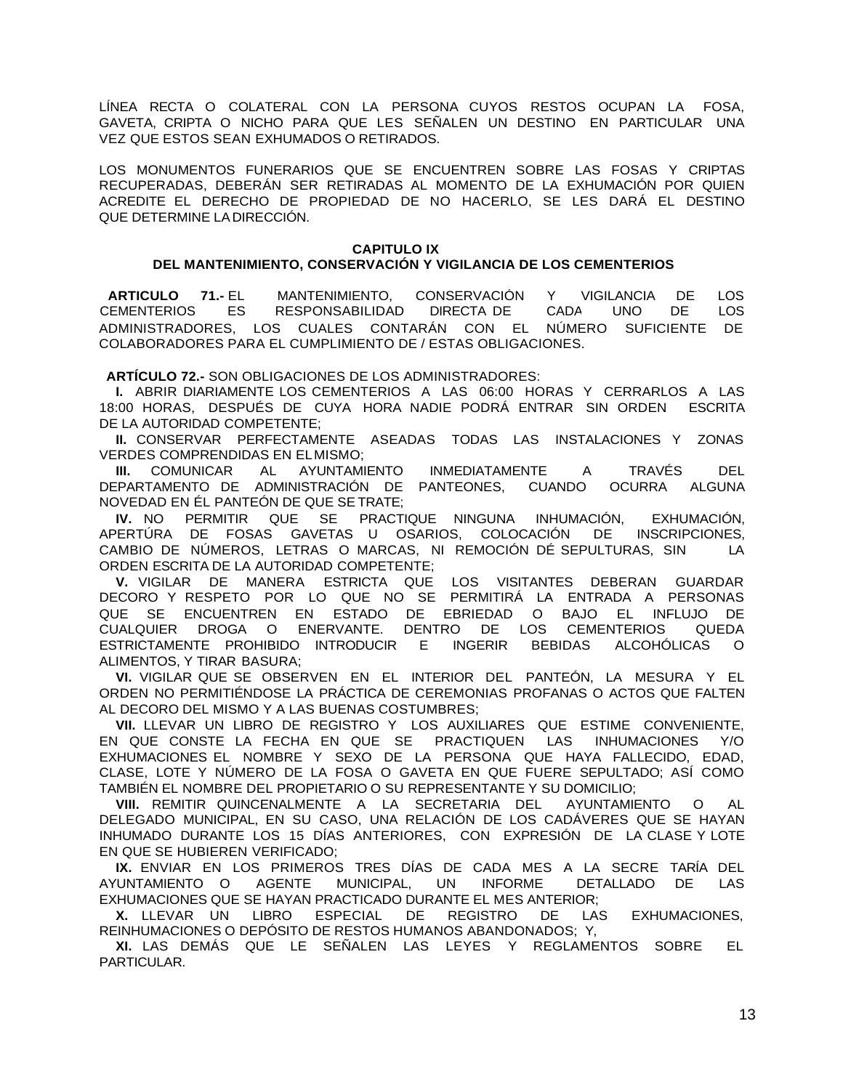LÍNEA RECTA O COLATERAL CON LA PERSONA CUYOS RESTOS OCUPAN LA FOSA, GAVETA, CRIPTA O NICHO PARA QUE LES SEÑALEN UN DESTINO EN PARTICULAR UNA VEZ QUE ESTOS SEAN EXHUMADOS O RETIRADOS.

LOS MONUMENTOS FUNERARIOS QUE SE ENCUENTREN SOBRE LAS FOSAS Y CRIPTAS RECUPERADAS, DEBERÁN SER RETIRADAS AL MOMENTO DE LA EXHUMACIÓN POR QUIEN ACREDITE EL DERECHO DE PROPIEDAD DE NO HACERLO, SE LES DARÁ EL DESTINO QUE DETERMINE LA DIRECCIÓN.

### **CAPITULO IX DEL MANTENIMIENTO, CONSERVACIÓN Y VIGILANCIA DE LOS CEMENTERIOS**

**ARTICULO 71.-** EL MANTENIMIENTO, CONSERVACIÓN Y VIGILANCIA DE LOS CEMENTERIOS ES RESPONSABILIDAD DIRECTA DE CADA UNO DE LOS ADMINISTRADORES, LOS CUALES CONTARÁN CON EL NÚMERO SUFICIENTE DE COLABORADORES PARA EL CUMPLIMIENTO DE / ESTAS OBLIGACIONES.

**ARTÍCULO 72.-** SON OBLIGACIONES DE LOS ADMINISTRADORES:

**I.** ABRIR DIARIAMENTE LOS CEMENTERIOS A LAS 06:00 HORAS Y CERRARLOS A LAS 18:00 HORAS, DESPUÉS DE CUYA HORA NADIE PODRÁ ENTRAR SIN ORDEN ESCRITA DE LA AUTORIDAD COMPETENTE;

**II.** CONSERVAR PERFECTAMENTE ASEADAS TODAS LAS INSTALACIONES Y ZONAS VERDES COMPRENDIDAS EN ELMISMO;

**III.** COMUNICAR AL AYUNTAMIENTO INMEDIATAMENTE A TRAVÉS DEL DEPARTAMENTO DE ADMINISTRACIÓN DE PANTEONES, CUANDO OCURRA ALGUNA NOVEDAD EN ÉL PANTEÓN DE QUE SE TRATE;

**IV.** NO PERMITIR QUE SE PRACTIQUE NINGUNA INHUMACIÓN, EXHUMACIÓN, APERTÚRA DE FOSAS GAVETAS U OSARIOS, COLOCACIÓN DE INSCRIPCIONES, CAMBIO DE NÚMEROS, LETRAS O MARCAS, NI REMOCIÓN DÉ SEPULTURAS, SIN LA ORDEN ESCRITA DE LA AUTORIDAD COMPETENTE;

**V.** VIGILAR DE MANERA ESTRICTA QUE LOS VISITANTES DEBERAN GUARDAR DECORO Y RESPETO POR LO QUE NO SE PERMITIRÁ LA ENTRADA A PERSONAS QUE SE ENCUENTREN EN ESTADO DE EBRIEDAD O BAJO EL INFLUJO DE CUALQUIER DROGA O ENERVANTE. DENTRO DE LOS CEMENTERIOS QUEDA ESTRICTAMENTE PROHIBIDO INTRODUCIR E INGERIR BEBIDAS ALCOHÓLICAS O ALIMENTOS, Y TIRAR BASURA;

**VI.** VIGILAR QUE SE OBSERVEN EN EL INTERIOR DEL PANTEÓN, LA MESURA Y EL ORDEN NO PERMITIÉNDOSE LA PRÁCTICA DE CEREMONIAS PROFANAS O ACTOS QUE FALTEN AL DECORO DEL MISMO Y A LAS BUENAS COSTUMBRES;

**VII.** LLEVAR UN LIBRO DE REGISTRO Y LOS AUXILIARES QUE ESTIME CONVENIENTE, EN QUE CONSTE LA FECHA EN QUE SE PRACTIQUEN LAS INHUMACIONES Y/O EXHUMACIONES EL NOMBRE Y SEXO DE LA PERSONA QUE HAYA FALLECIDO, EDAD, CLASE, LOTE Y NÚMERO DE LA FOSA O GAVETA EN QUE FUERE SEPULTADO; ASÍ COMO TAMBIÉN EL NOMBRE DEL PROPIETARIO O SU REPRESENTANTE Y SU DOMICILIO;

**VIII.** REMITIR QUINCENALMENTE A LA SECRETARIA DEL AYUNTAMIENTO O AL DELEGADO MUNICIPAL, EN SU CASO, UNA RELACIÓN DE LOS CADÁVERES QUE SE HAYAN INHUMADO DURANTE LOS 15 DÍAS ANTERIORES, CON EXPRESIÓN DE LA CLASE Y LOTE EN QUE SE HUBIEREN VERIFICADO;

**IX.** ENVIAR EN LOS PRIMEROS TRES DÍAS DE CADA MES A LA SECRE TARÍA DEL AYUNTAMIENTO O AGENTE MUNICIPAL, UN INFORME DETALLADO DE LAS EXHUMACIONES QUE SE HAYAN PRACTICADO DURANTE EL MES ANTERIOR;

**X.** LLEVAR UN LIBRO ESPECIAL DE REGISTRO DE LAS EXHUMACIONES, REINHUMACIONES O DEPÓSITO DE RESTOS HUMANOS ABANDONADOS; Y,

**XI.** LAS DEMÁS QUE LE SEÑALEN LAS LEYES Y REGLAMENTOS SOBRE EL PARTICULAR.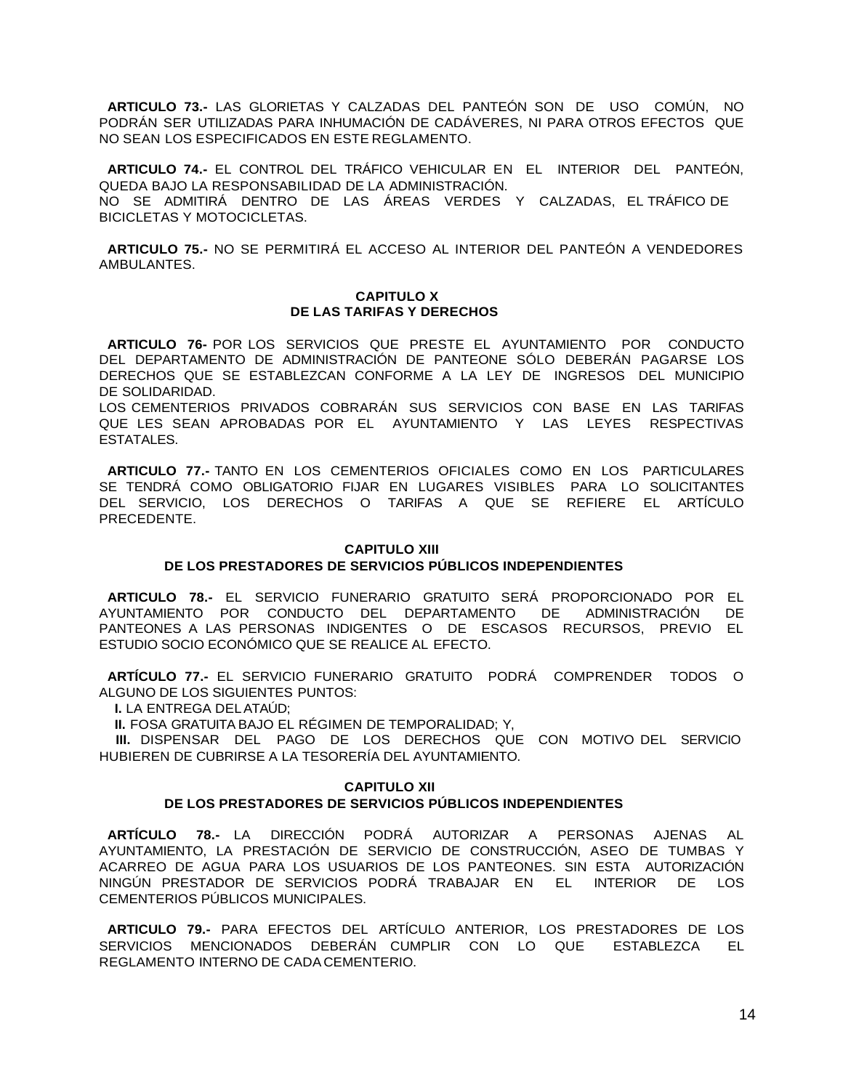**ARTICULO 73.-** LAS GLORIETAS Y CALZADAS DEL PANTEÓN SON DE USO COMÚN, NO PODRÁN SER UTILIZADAS PARA INHUMACIÓN DE CADÁVERES, NI PARA OTROS EFECTOS QUE NO SEAN LOS ESPECIFICADOS EN ESTE REGLAMENTO.

**ARTICULO 74.-** EL CONTROL DEL TRÁFICO VEHICULAR EN EL INTERIOR DEL PANTEÓN, QUEDA BAJO LA RESPONSABILIDAD DE LA ADMINISTRACIÓN.

NO SE ADMITIRÁ DENTRO DE LAS ÁREAS VERDES Y CALZADAS, EL TRÁFICO DE BICICLETAS Y MOTOCICLETAS.

**ARTICULO 75.-** NO SE PERMITIRÁ EL ACCESO AL INTERIOR DEL PANTEÓN A VENDEDORES AMBULANTES.

#### **CAPITULO X DE LAS TARIFAS Y DERECHOS**

**ARTICULO 76-** POR LOS SERVICIOS QUE PRESTE EL AYUNTAMIENTO POR CONDUCTO DEL DEPARTAMENTO DE ADMINISTRACIÓN DE PANTEONE SÓLO DEBERÁN PAGARSE LOS DERECHOS QUE SE ESTABLEZCAN CONFORME A LA LEY DE INGRESOS DEL MUNICIPIO DE SOLIDARIDAD.

LOS CEMENTERIOS PRIVADOS COBRARÁN SUS SERVICIOS CON BASE EN LAS TARIFAS QUE LES SEAN APROBADAS POR EL AYUNTAMIENTO Y LAS LEYES RESPECTIVAS ESTATALES.

**ARTICULO 77.-** TANTO EN LOS CEMENTERIOS OFICIALES COMO EN LOS PARTICULARES SE TENDRÁ COMO OBLIGATORIO FIJAR EN LUGARES VISIBLES PARA LO SOLICITANTES DEL SERVICIO, LOS DERECHOS O TARIFAS A QUE SE REFIERE EL ARTÍCULO PRECEDENTE.

#### **CAPITULO XIII**

### **DE LOS PRESTADORES DE SERVICIOS PÚBLICOS INDEPENDIENTES**

**ARTICULO 78.-** EL SERVICIO FUNERARIO GRATUITO SERÁ PROPORCIONADO POR EL AYUNTAMIENTO POR CONDUCTO DEL DEPARTAMENTO DE ADMINISTRACIÓN DE PANTEONES A LAS PERSONAS INDIGENTES O DE ESCASOS RECURSOS, PREVIO EL ESTUDIO SOCIO ECONÓMICO QUE SE REALICE AL EFECTO.

**ARTÍCULO 77.-** EL SERVICIO FUNERARIO GRATUITO PODRÁ COMPRENDER TODOS O ALGUNO DE LOS SIGUIENTES PUNTOS:

**I.** LA ENTREGA DELATAÚD;

**II.** FOSA GRATUITA BAJO EL RÉGIMEN DE TEMPORALIDAD; Y,

**III.** DISPENSAR DEL PAGO DE LOS DERECHOS QUE CON MOTIVO DEL SERVICIO HUBIEREN DE CUBRIRSE A LA TESORERÍA DEL AYUNTAMIENTO.

#### **CAPITULO XII**

# **DE LOS PRESTADORES DE SERVICIOS PÚBLICOS INDEPENDIENTES**

**ARTÍCULO 78.-** LA DIRECCIÓN PODRÁ AUTORIZAR A PERSONAS AJENAS AL AYUNTAMIENTO, LA PRESTACIÓN DE SERVICIO DE CONSTRUCCIÓN, ASEO DE TUMBAS Y ACARREO DE AGUA PARA LOS USUARIOS DE LOS PANTEONES. SIN ESTA AUTORIZACIÓN NINGÚN PRESTADOR DE SERVICIOS PODRÁ TRABAJAR EN EL INTERIOR DE LOS CEMENTERIOS PÚBLICOS MUNICIPALES.

**ARTICULO 79.-** PARA EFECTOS DEL ARTÍCULO ANTERIOR, LOS PRESTADORES DE LOS SERVICIOS MENCIONADOS DEBERÁN CUMPLIR CON LO QUE ESTABLEZCA EL REGLAMENTO INTERNO DE CADA CEMENTERIO.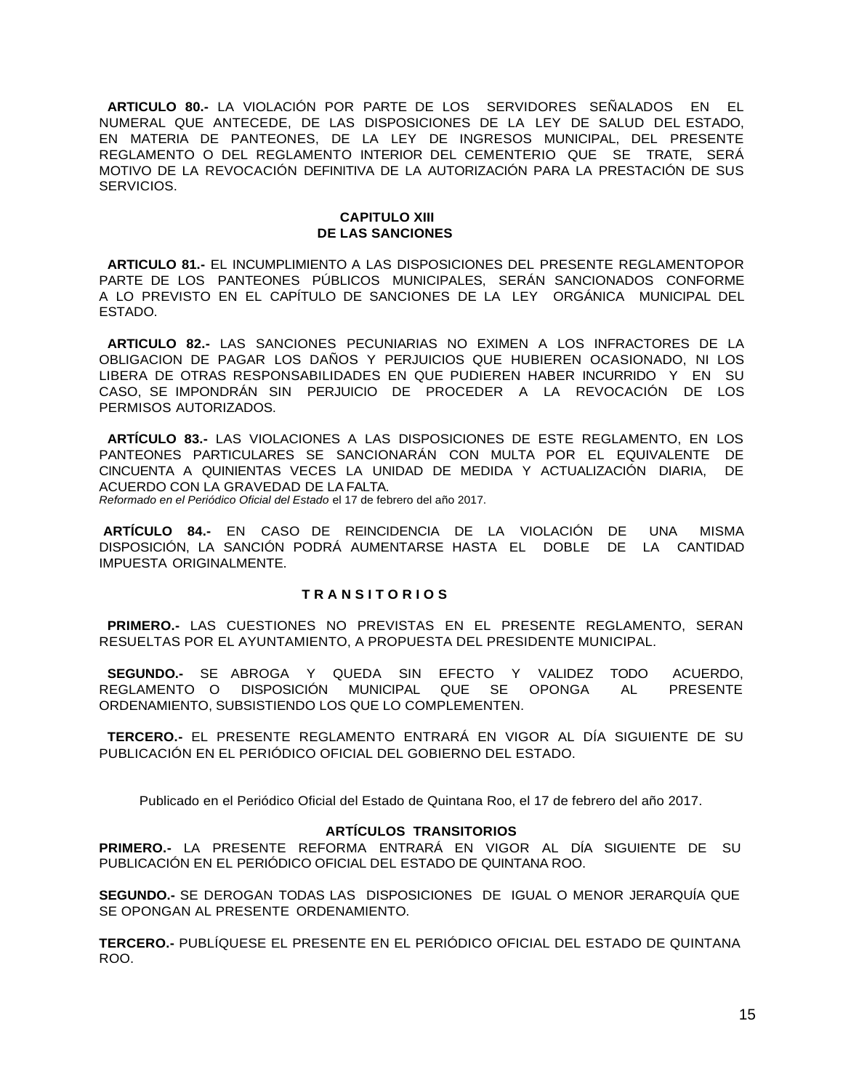**ARTICULO 80.-** LA VIOLACIÓN POR PARTE DE LOS SERVIDORES SEÑALADOS EN EL NUMERAL QUE ANTECEDE, DE LAS DISPOSICIONES DE LA LEY DE SALUD DEL ESTADO, EN MATERIA DE PANTEONES, DE LA LEY DE INGRESOS MUNICIPAL, DEL PRESENTE REGLAMENTO O DEL REGLAMENTO INTERIOR DEL CEMENTERIO QUE SE TRATE, SERÁ MOTIVO DE LA REVOCACIÓN DEFINITIVA DE LA AUTORIZACIÓN PARA LA PRESTACIÓN DE SUS SERVICIOS.

### **CAPITULO XIII DE LAS SANCIONES**

**ARTICULO 81.-** EL INCUMPLIMIENTO A LAS DISPOSICIONES DEL PRESENTE REGLAMENTOPOR PARTE DE LOS PANTEONES PÚBLICOS MUNICIPALES, SERÁN SANCIONADOS CONFORME A LO PREVISTO EN EL CAPÍTULO DE SANCIONES DE LA LEY ORGÁNICA MUNICIPAL DEL ESTADO.

**ARTICULO 82.-** LAS SANCIONES PECUNIARIAS NO EXIMEN A LOS INFRACTORES DE LA OBLIGACION DE PAGAR LOS DAÑOS Y PERJUICIOS QUE HUBIEREN OCASIONADO, NI LOS LIBERA DE OTRAS RESPONSABILIDADES EN QUE PUDIEREN HABER INCURRIDO Y EN SU CASO, SE IMPONDRÁN SIN PERJUICIO DE PROCEDER A LA REVOCACIÓN DE LOS PERMISOS AUTORIZADOS.

**ARTÍCULO 83.-** LAS VIOLACIONES A LAS DISPOSICIONES DE ESTE REGLAMENTO, EN LOS PANTEONES PARTICULARES SE SANCIONARÁN CON MULTA POR EL EQUIVALENTE DE CINCUENTA A QUINIENTAS VECES LA UNIDAD DE MEDIDA Y ACTUALIZACIÓN DIARIA, DE ACUERDO CON LA GRAVEDAD DE LA FALTA.

*Reformado en el Periódico Oficial del Estado* el 17 de febrero del año 2017.

**ARTÍCULO 84.-** EN CASO DE REINCIDENCIA DE LA VIOLACIÓN DE UNA MISMA DISPOSICIÓN, LA SANCIÓN PODRÁ AUMENTARSE HASTA EL DOBLE DE LA CANTIDAD IMPUESTA ORIGINALMENTE.

### **T R A N S I T O R I O S**

**PRIMERO.-** LAS CUESTIONES NO PREVISTAS EN EL PRESENTE REGLAMENTO, SERAN RESUELTAS POR EL AYUNTAMIENTO, A PROPUESTA DEL PRESIDENTE MUNICIPAL.

**SEGUNDO.-** SE ABROGA Y QUEDA SIN EFECTO Y VALIDEZ TODO ACUERDO, REGLAMENTO O DISPOSICIÓN MUNICIPAL QUE SE OPONGA AL PRESENTE ORDENAMIENTO, SUBSISTIENDO LOS QUE LO COMPLEMENTEN.

**TERCERO.-** EL PRESENTE REGLAMENTO ENTRARÁ EN VIGOR AL DÍA SIGUIENTE DE SU PUBLICACIÓN EN EL PERIÓDICO OFICIAL DEL GOBIERNO DEL ESTADO.

Publicado en el Periódico Oficial del Estado de Quintana Roo, el 17 de febrero del año 2017.

### **ARTÍCULOS TRANSITORIOS**

**PRIMERO.-** LA PRESENTE REFORMA ENTRARÁ EN VIGOR AL DÍA SIGUIENTE DE SU PUBLICACIÓN EN EL PERIÓDICO OFICIAL DEL ESTADO DE QUINTANA ROO.

**SEGUNDO.-** SE DEROGAN TODAS LAS DISPOSICIONES DE IGUAL O MENOR JERARQUÍA QUE SE OPONGAN AL PRESENTE ORDENAMIENTO.

**TERCERO.-** PUBLÍQUESE EL PRESENTE EN EL PERIÓDICO OFICIAL DEL ESTADO DE QUINTANA ROO.